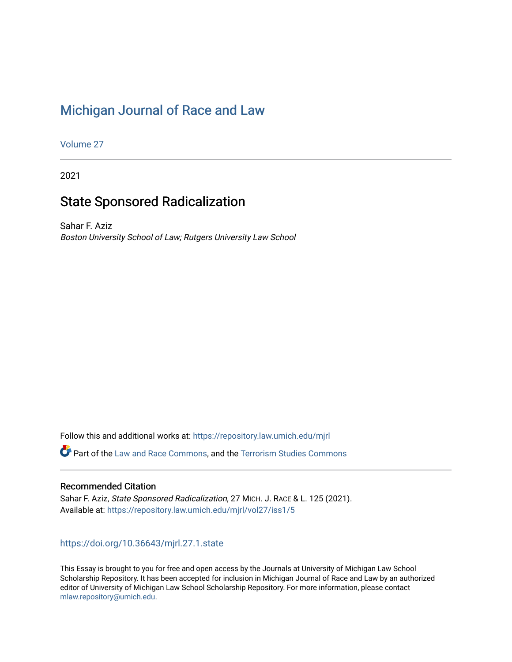# [Michigan Journal of Race and Law](https://repository.law.umich.edu/mjrl)

[Volume 27](https://repository.law.umich.edu/mjrl/vol27)

2021

## State Sponsored Radicalization

Sahar F. Aziz Boston University School of Law; Rutgers University Law School

Follow this and additional works at: [https://repository.law.umich.edu/mjrl](https://repository.law.umich.edu/mjrl?utm_source=repository.law.umich.edu%2Fmjrl%2Fvol27%2Fiss1%2F5&utm_medium=PDF&utm_campaign=PDFCoverPages) 

Part of the [Law and Race Commons,](https://network.bepress.com/hgg/discipline/1300?utm_source=repository.law.umich.edu%2Fmjrl%2Fvol27%2Fiss1%2F5&utm_medium=PDF&utm_campaign=PDFCoverPages) and the [Terrorism Studies Commons](https://network.bepress.com/hgg/discipline/1389?utm_source=repository.law.umich.edu%2Fmjrl%2Fvol27%2Fiss1%2F5&utm_medium=PDF&utm_campaign=PDFCoverPages) 

## Recommended Citation

Sahar F. Aziz, State Sponsored Radicalization, 27 MICH. J. RACE & L. 125 (2021). Available at: [https://repository.law.umich.edu/mjrl/vol27/iss1/5](https://repository.law.umich.edu/mjrl/vol27/iss1/5?utm_source=repository.law.umich.edu%2Fmjrl%2Fvol27%2Fiss1%2F5&utm_medium=PDF&utm_campaign=PDFCoverPages) 

## <https://doi.org/10.36643/mjrl.27.1.state>

This Essay is brought to you for free and open access by the Journals at University of Michigan Law School Scholarship Repository. It has been accepted for inclusion in Michigan Journal of Race and Law by an authorized editor of University of Michigan Law School Scholarship Repository. For more information, please contact [mlaw.repository@umich.edu.](mailto:mlaw.repository@umich.edu)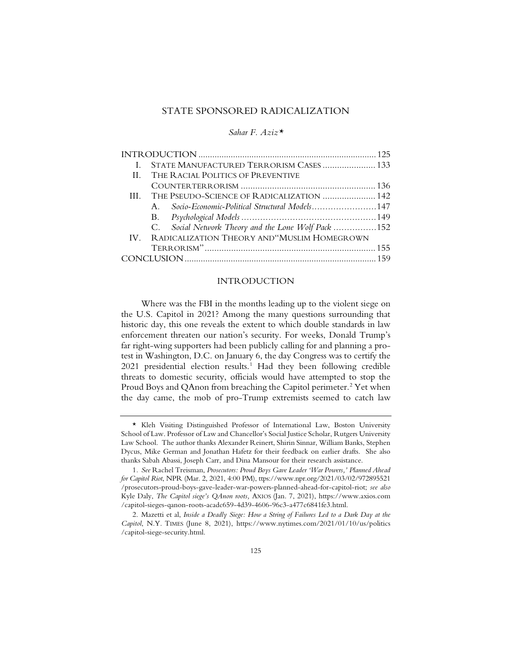## STATE SPONSORED RADICALIZATION

*Sahar F. Aziz\**

|    | STATE MANUFACTURED TERRORISM CASES  133             |  |
|----|-----------------------------------------------------|--|
| II | THE RACIAL POLITICS OF PREVENTIVE                   |  |
|    |                                                     |  |
|    | III. THE PSEUDO-SCIENCE OF RADICALIZATION  142      |  |
|    | Socio-Economic-Political Structural Models147<br>A  |  |
|    |                                                     |  |
|    | C. Social Network Theory and the Lone Wolf Pack 152 |  |
|    | IV. RADICALIZATION THEORY AND "MUSLIM HOMEGROWN     |  |
|    |                                                     |  |
|    |                                                     |  |

#### INTRODUCTION

Where was the FBI in the months leading up to the violent siege on the U.S. Capitol in 2021? Among the many questions surrounding that historic day, this one reveals the extent to which double standards in law enforcement threaten our nation's security. For weeks, Donald Trump's far right-wing supporters had been publicly calling for and planning a protest in Washington, D.C. on January 6, the day Congress was to certify the  $2021$  presidential election results.<sup>1</sup> Had they been following credible threats to domestic security, officials would have attempted to stop the Proud Boys and QAnon from breaching the Capitol perimeter.<sup>2</sup> Yet when the day came, the mob of pro-Trump extremists seemed to catch law

<sup>\*</sup> Kleh Visiting Distinguished Professor of International Law, Boston University School of Law. Professor of Law and Chancellor's Social Justice Scholar, Rutgers University Law School. The author thanks Alexander Reinert, Shirin Sinnar, William Banks, Stephen Dycus, Mike German and Jonathan Hafetz for their feedback on earlier drafts. She also thanks Sabah Abassi, Joseph Carr, and Dina Mansour for their research assistance.

<sup>1</sup>*. See* Rachel Treisman, *Prosecutors: Proud Boys Gave Leader 'War Powers,' Planned Ahead for Capitol Riot*, NPR (Mar. 2, 2021, 4:00 PM), ttps://www.npr.org/2021/03/02/972895521 /prosecutors-proud-boys-gave-leader-war-powers-planned-ahead-for-capitol-riot; *see also* Kyle Daly, *The Capitol siege's QAnon roots,* AXIOS (Jan. 7, 2021), https://www.axios.com /capitol-sieges-qanon-roots-acadc659-4d39-4606-96c3-a477c6841fe3.html.

<sup>2.</sup> Mazetti et al, *Inside a Deadly Siege: How a String of Failures Led to a Dark Day at the Capitol*, N.Y. TIMES (June 8, 2021), https://www.nytimes.com/2021/01/10/us/politics /capitol-siege-security.html.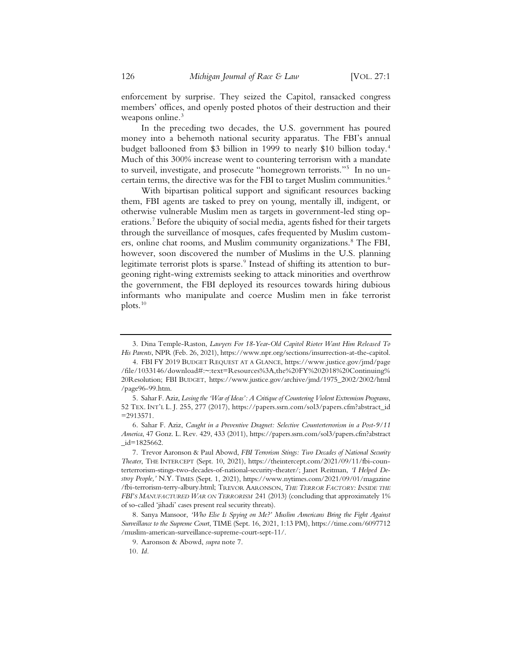enforcement by surprise. They seized the Capitol, ransacked congress members' offices, and openly posted photos of their destruction and their weapons online.<sup>3</sup>

In the preceding two decades, the U.S. government has poured money into a behemoth national security apparatus. The FBI's annual budget ballooned from \$3 billion in 1999 to nearly \$10 billion today.<sup>4</sup> Much of this 300% increase went to countering terrorism with a mandate to surveil, investigate, and prosecute "homegrown terrorists."5 In no uncertain terms, the directive was for the FBI to target Muslim communities.<sup>6</sup>

With bipartisan political support and significant resources backing them, FBI agents are tasked to prey on young, mentally ill, indigent, or otherwise vulnerable Muslim men as targets in government-led sting operations.7 Before the ubiquity of social media, agents fished for their targets through the surveillance of mosques, cafes frequented by Muslim customers, online chat rooms, and Muslim community organizations.<sup>8</sup> The FBI, however, soon discovered the number of Muslims in the U.S. planning legitimate terrorist plots is sparse.<sup>9</sup> Instead of shifting its attention to burgeoning right-wing extremists seeking to attack minorities and overthrow the government, the FBI deployed its resources towards hiring dubious informants who manipulate and coerce Muslim men in fake terrorist plots. $10$ 

<sup>3.</sup> Dina Temple-Raston, *Lawyers For 18-Year-Old Capitol Rioter Want Him Released To His Parents*, NPR (Feb. 26, 2021), https://www.npr.org/sections/insurrection-at-the-capitol.

<sup>4.</sup> FBI FY 2019 BUDGET REQUEST AT A GLANCE, https://www.justice.gov/jmd/page /file/1033146/download#:~:text=Resources%3A,the%20FY%202018%20Continuing% 20Resolution; FBI BUDGET, https://www.justice.gov/archive/jmd/1975\_2002/2002/html /page96-99.htm.

<sup>5.</sup> Sahar F. Aziz, *Losing the 'War of Ideas': A Critique of Countering Violent Extremism Programs*, 52 TEX. INT'L L. J. 255, 277 (2017), https://papers.ssrn.com/sol3/papers.cfm?abstract\_id =2913571.

<sup>6.</sup> Sahar F. Aziz, *Caught in a Preventive Dragnet: Selective Counterterrorism in a Post-9/11 America*, 47 Gonz. L. Rev. 429, 433 (2011), https://papers.ssrn.com/sol3/papers.cfm?abstract  $id=1825662$ .

<sup>7.</sup> Trevor Aaronson & Paul Abowd, *FBI Terrorism Stings: Two Decades of National Security Theater*, THE INTERCEPT (Sept. 10, 2021), https://theintercept.com/2021/09/11/fbi-counterterrorism-stings-two-decades-of-national-security-theater/; Janet Reitman, *'I Helped Destroy People,'* N.Y. TIMES (Sept. 1, 2021), https://www.nytimes.com/2021/09/01/magazine /fbi-terrorism-terry-albury.html; TREVOR AARONSON, *THE TERROR FACTORY: INSIDE THE FBI'S MANUFACTURED WAR ON TERRORISM* 241 (2013) (concluding that approximately 1% of so-called 'jihadi' cases present real security threats).

<sup>8.</sup> Sanya Mansoor, *'Who Else Is Spying on Me?' Muslim Americans Bring the Fight Against Surveillance to the Supreme Court*, TIME (Sept. 16, 2021, 1:13 PM), https://time.com/6097712 /muslim-american-surveillance-supreme-court-sept-11/.

<sup>9.</sup> Aaronson & Abowd, *supra* note 7.

<sup>10</sup>*. Id.*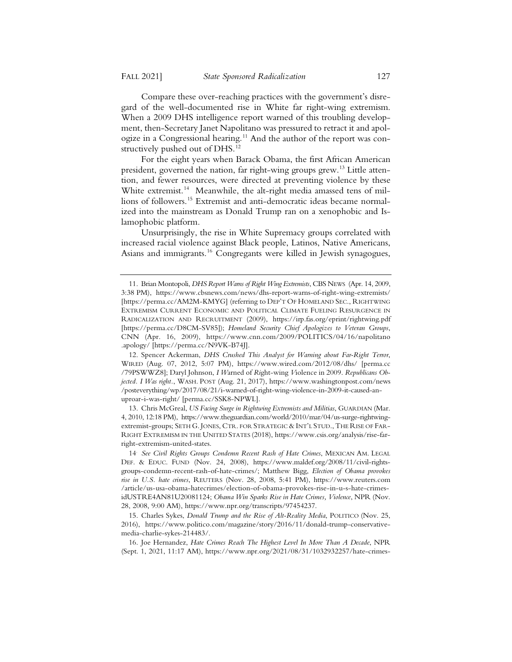Compare these over-reaching practices with the government's disregard of the well-documented rise in White far right-wing extremism. When a 2009 DHS intelligence report warned of this troubling development, then-Secretary Janet Napolitano was pressured to retract it and apologize in a Congressional hearing.<sup>11</sup> And the author of the report was constructively pushed out of DHS.<sup>12</sup>

For the eight years when Barack Obama, the first African American president, governed the nation, far right-wing groups grew.<sup>13</sup> Little attention, and fewer resources, were directed at preventing violence by these White extremist.<sup>14</sup> Meanwhile, the alt-right media amassed tens of millions of followers.15 Extremist and anti-democratic ideas became normalized into the mainstream as Donald Trump ran on a xenophobic and Islamophobic platform.

Unsurprisingly, the rise in White Supremacy groups correlated with increased racial violence against Black people, Latinos, Native Americans, Asians and immigrants.16 Congregants were killed in Jewish synagogues,

12. Spencer Ackerman, *DHS Crushed This Analyst for Warning about Far-Right Terror*, WIRED (Aug. 07, 2012, 5:07 PM), https://www.wired.com/2012/08/dhs/ [perma.cc /79PSWWZ8]; Daryl Johnson, *I W*arned of *Ri*ght-wing *V*iolence in 2009. *Republicans Objected. I Was right.*, WASH. POST (Aug. 21, 2017), https://www.washingtonpost.com/news /posteverything/wp/2017/08/21/i-warned-of-right-wing-violence-in-2009-it-caused-anuproar-i-was-right/ [perma.cc/SSK8-NPWL].

13. Chris McGreal, *US Facing Surge in Rightwing Extremists and Militias*, GUARDIAN (Mar. 4, 2010, 12:18 PM), https://www.theguardian.com/world/2010/mar/04/us-surge-rightwingextremist-groups; SETH G. JONES, CTR. FOR STRATEGIC & INT'L STUD., THE RISE OF FAR-RIGHT EXTREMISM IN THE UNITED STATES (2018), https://www.csis.org/analysis/rise-farright-extremism-united-states.

<sup>11.</sup> Brian Montopoli, *DHS Report Warns of Right Wing Extremists*, CBS NEWS (Apr. 14, 2009, 3:38 PM), https://www.cbsnews.com/news/dhs-report-warns-of-right-wing-extremists/ [https://perma.cc/AM2M-KMYG] (referring to DEP'T OF HOMELAND SEC., RIGHTWING EXTREMISM CURRENT ECONOMIC AND POLITICAL CLIMATE FUELING RESURGENCE IN RADICALIZATION AND RECRUITMENT (2009), https://irp.fas.org/eprint/rightwing.pdf [https://perma.cc/D8CM-SV85]); *Homeland Security Chief Apologizes to Veteran Groups*, CNN (Apr. 16, 2009), https://www.cnn.com/2009/POLITICS/04/16/napolitano .apology/ [https://perma.cc/N9VK-B74J].

<sup>14.</sup> *See Civil Rights Groups Condemn Recent Rash of Hate Crimes*, MEXICAN AM. LEGAL DEF.&EDUC. FUND (Nov. 24, 2008), https://www.maldef.org/2008/11/civil-rightsgroups-condemn-recent-rash-of-hate-crimes/; Matthew Bigg, *Election of Obama provokes rise in U.S. hate crimes*, REUTERS (Nov. 28, 2008, 5:41 PM), https://www.reuters.com /article/us-usa-obama-hatecrimes/election-of-obama-provokes-rise-in-u-s-hate-crimesidUSTRE4AN81U20081124; *Obama Win Sparks Rise in Hate Crimes, Violence*, NPR (Nov. 28, 2008, 9:00 AM), https://www.npr.org/transcripts/97454237.

<sup>15.</sup> Charles Sykes, *Donald Trump and the Rise of Alt-Reality Media*, POLITICO (Nov. 25, 2016), https://www.politico.com/magazine/story/2016/11/donald-trump-conservativemedia-charlie-sykes-214483/.

<sup>16.</sup> Joe Hernandez, *Hate Crimes Reach The Highest Level In More Than A Decade*, NPR (Sept. 1, 2021, 11:17 AM), https://www.npr.org/2021/08/31/1032932257/hate-crimes-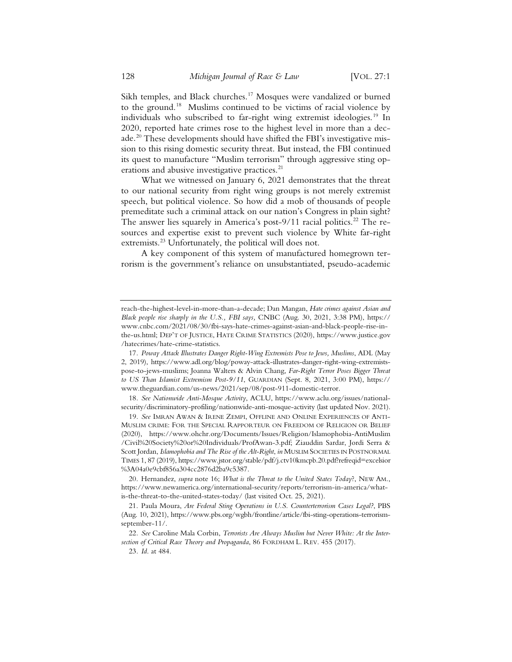Sikh temples, and Black churches.<sup>17</sup> Mosques were vandalized or burned to the ground.18 Muslims continued to be victims of racial violence by individuals who subscribed to far-right wing extremist ideologies.<sup>19</sup> In 2020, reported hate crimes rose to the highest level in more than a decade.<sup>20</sup> These developments should have shifted the FBI's investigative mission to this rising domestic security threat. But instead, the FBI continued its quest to manufacture "Muslim terrorism" through aggressive sting operations and abusive investigative practices.<sup>21</sup>

What we witnessed on January 6, 2021 demonstrates that the threat to our national security from right wing groups is not merely extremist speech, but political violence. So how did a mob of thousands of people premeditate such a criminal attack on our nation's Congress in plain sight? The answer lies squarely in America's post-9/11 racial politics.<sup>22</sup> The resources and expertise exist to prevent such violence by White far-right extremists.<sup>23</sup> Unfortunately, the political will does not.

A key component of this system of manufactured homegrown terrorism is the government's reliance on unsubstantiated, pseudo-academic

18*. See Nationwide Anti-Mosque Activity*, ACLU, https://www.aclu.org/issues/nationalsecurity/discriminatory-profiling/nationwide-anti-mosque-activity (last updated Nov. 2021).

19*. See* IMRAN AWAN & IRENE ZEMPI, OFFLINE AND ONLINE EXPERIENCES OF ANTI-MUSLIM CRIME: FOR THE SPECIAL RAPPORTEUR ON FREEDOM OF RELIGION OR BELIEF (2020), https://www.ohchr.org/Documents/Issues/Religion/Islamophobia-AntiMuslim /Civil%20Society%20or%20Individuals/ProfAwan-3.pdf; Ziauddin Sardar, Jordi Serra & Scott Jordan, *Islamophobia and The Rise of the Alt-Right*, *in* MUSLIM SOCIETIES IN POSTNORMAL TIMES 1, 87 (2019), https://www.jstor.org/stable/pdf/j.ctv10kmcpb.20.pdf?refreqid=excelsior %3A04a0e9cbf856a304cc2876d2ba9c5387.

20. Hernandez, *supra* note 16; *What is the Threat to the United States Today*?, NEW AM., https://www.newamerica.org/international-security/reports/terrorism-in-america/whatis-the-threat-to-the-united-states-today/ (last visited Oct. 25, 2021).

21. Paula Moura, *Are Federal Sting Operations in U.S. Counterterrorism Cases Legal?*, PBS (Aug. 10, 2021), https://www.pbs.org/wgbh/frontline/article/fbi-sting-operations-terrorismseptember-11/.

22*. See* Caroline Mala Corbin, *Terrorists Are Always Muslim but Never White: At the Intersection of Critical Race Theory and Propaganda*, 86 FORDHAM L. REV. 455 (2017).

reach-the-highest-level-in-more-than-a-decade; Dan Mangan, *Hate crimes against Asian and Black people rise sharply in the U.S., FBI says,* CNBC (Aug. 30, 2021, 3:38 PM), https:// www.cnbc.com/2021/08/30/fbi-says-hate-crimes-against-asian-and-black-people-rise-inthe-us.html; DEP'T OF JUSTICE, HATE CRIME STATISTICS (2020), https://www.justice.gov /hatecrimes/hate-crime-statistics.

<sup>17</sup>*. Poway Attack Illustrates Danger Right-Wing Extremists Pose to Jews, Muslims*, ADL (May 2, 2019), https://www.adl.org/blog/poway-attack-illustrates-danger-right-wing-extremistspose-to-jews-muslims; Joanna Walters & Alvin Chang, *Far-Right Terror Poses Bigger Threat to US Than Islamist Extremism Post-9/11*, GUARDIAN (Sept. 8, 2021, 3:00 PM), https:// www.theguardian.com/us-news/2021/sep/08/post-911-domestic-terror.

<sup>23</sup>*. Id*. at 484.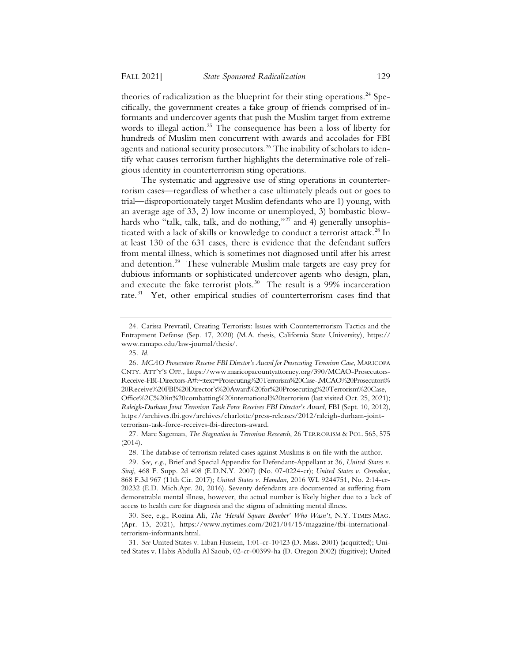theories of radicalization as the blueprint for their sting operations.<sup>24</sup> Specifically, the government creates a fake group of friends comprised of informants and undercover agents that push the Muslim target from extreme words to illegal action.<sup>25</sup> The consequence has been a loss of liberty for hundreds of Muslim men concurrent with awards and accolades for FBI agents and national security prosecutors.<sup>26</sup> The inability of scholars to identify what causes terrorism further highlights the determinative role of religious identity in counterterrorism sting operations.

The systematic and aggressive use of sting operations in counterterrorism cases—regardless of whether a case ultimately pleads out or goes to trial—disproportionately target Muslim defendants who are 1) young, with an average age of 33, 2) low income or unemployed, 3) bombastic blowhards who "talk, talk, talk, and do nothing," $27$  and 4) generally unsophisticated with a lack of skills or knowledge to conduct a terrorist attack.<sup>28</sup> In at least 130 of the 631 cases, there is evidence that the defendant suffers from mental illness, which is sometimes not diagnosed until after his arrest and detention.<sup>29</sup> These vulnerable Muslim male targets are easy prey for dubious informants or sophisticated undercover agents who design, plan, and execute the fake terrorist plots.<sup>30</sup> The result is a 99% incarceration rate.<sup>31</sup> Yet, other empirical studies of counterterrorism cases find that

27. Marc Sageman, *The Stagnation in Terrorism Research*, 26 TERRORISM & POL. 565, 575 (2014).

28. The database of terrorism related cases against Muslims is on file with the author.

<sup>24.</sup> Carissa Prevratil, Creating Terrorists: Issues with Counterterrorism Tactics and the Entrapment Defense (Sep. 17, 2020) (M.A. thesis, California State University), https:// www.ramapo.edu/law-journal/thesis/.

<sup>25</sup>*. Id*.

<sup>26</sup>*. MCAO Prosecutors Receive FBI Director's Award for Prosecuting Terrorism Case*, MARICOPA CNTY. ATT'Y'S OFF., https://www.maricopacountyattorney.org/390/MCAO-Prosecutors-Receive-FBI-Directors-A#:~:text=Prosecuting%20Terrorism%20Case-,MCAO%20Prosecutors% 20Receive%20FBI%20Director's%20Award%20for%20Prosecuting%20Terrorism%20Case, Office%2C%20in%20combatting%20international%20terrorism (last visited Oct. 25, 2021); *Raleigh-Durham Joint Terrorism Task Force Receives FBI Director's Award*, FBI (Sept. 10, 2012), https://archives.fbi.gov/archives/charlotte/press-releases/2012/raleigh-durham-jointterrorism-task-force-receives-fbi-directors-award.

<sup>29</sup>*. See, e.g.*, Brief and Special Appendix for Defendant-Appellant at 36, *United States v. Siraj*, 468 F. Supp. 2d 408 (E.D.N.Y. 2007) (No. 07-0224-cr); *United States v. Osmakac*, 868 F.3d 967 (11th Cir. 2017); *United States v. Hamdan*, 2016 WL 9244751, No. 2:14-cr-20232 (E.D. Mich.Apr. 20, 2016). Seventy defendants are documented as suffering from demonstrable mental illness, however, the actual number is likely higher due to a lack of access to health care for diagnosis and the stigma of admitting mental illness.

<sup>30.</sup> See, e.g., Rozina Ali, *The 'Herald Square Bomber' Who Wasn't*, N.Y. TIMES MAG. (Apr. 13, 2021), https://www.nytimes.com/2021/04/15/magazine/fbi-internationalterrorism-informants.html.

<sup>31</sup>*. See* United States v. Liban Hussein, 1:01-cr-10423 (D. Mass. 2001) (acquitted); United States v. Habis Abdulla Al Saoub, 02-cr-00399-ha (D. Oregon 2002) (fugitive); United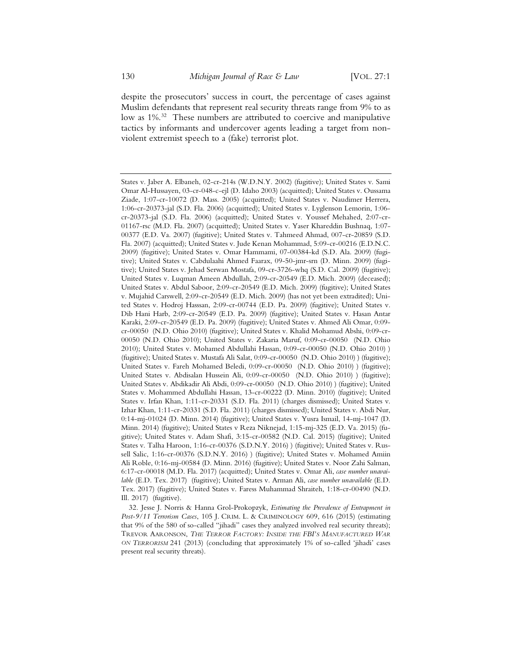despite the prosecutors' success in court, the percentage of cases against Muslim defendants that represent real security threats range from 9% to as low as 1%.<sup>32</sup> These numbers are attributed to coercive and manipulative tactics by informants and undercover agents leading a target from nonviolent extremist speech to a (fake) terrorist plot.

32. Jesse J. Norris & Hanna Grol-Prokopzyk, *Estimating the Prevalence of Entrapment in Post-9/11 Terrorism Cases*, 105 J. CRIM. L. & CRIMINOLOGY 609, 616 (2015) (estimating that 9% of the 580 of so-called "jihadi" cases they analyzed involved real security threats); TREVOR AARONSON, *THE TERROR FACTORY: INSIDE THE FBI'S MANUFACTURED WAR ON TERRORISM* 241 (2013) (concluding that approximately 1% of so-called 'jihadi' cases present real security threats).

States v. Jaber A. Elbaneh, 02-cr-214s (W.D.N.Y. 2002) (fugitive); United States v. Sami Omar Al-Hussayen, 03-cr-048-c-ejl (D. Idaho 2003) (acquitted); United States v. Oussama Ziade, 1:07-cr-10072 (D. Mass. 2005) (acquitted); United States v. Naudimer Herrera, 1:06-cr-20373-jal (S.D. Fla. 2006) (acquitted); United States v. Lyglenson Lemorin, 1:06 cr-20373-jal (S.D. Fla. 2006) (acquitted); United States v. Youssef Mehahed, 2:07-cr-01167-rsc (M.D. Fla. 2007) (acquitted); United States v. Yaser Khareddin Bushnaq, 1:07- 00377 (E.D. Va. 2007) (fugitive); United States v. Tahmeed Ahmad, 007-cr-20859 (S.D. Fla. 2007) (acquitted); United States v. Jude Kenan Mohammad, 5:09-cr-00216 (E.D.N.C. 2009) (fugitive); United States v. Omar Hammami, 07-00384-kd (S.D. Ala. 2009) (fugitive); United States v. Cabdulaahi Ahmed Faarax, 09-50-jmr-srn (D. Minn. 2009) (fugitive); United States v. Jehad Serwan Mostafa, 09-cr-3726-whq (S.D. Cal. 2009) (fugitive); United States v. Luqman Ameen Abdullah, 2:09-cr-20549 (E.D. Mich. 2009) (deceased); United States v. Abdul Saboor, 2:09-cr-20549 (E.D. Mich. 2009) (fugitive); United States v. Mujahid Carswell, 2:09-cr-20549 (E.D. Mich. 2009) (has not yet been extradited); United States v. Hodroj Hasssan, 2:09-cr-00744 (E.D. Pa. 2009) (fugitive); United States v. Dib Hani Harb, 2:09-cr-20549 (E.D. Pa. 2009) (fugitive); United States v. Hasan Antar Karaki, 2:09-cr-20549 (E.D. Pa. 2009) (fugitive); United States v. Ahmed Ali Omar, 0:09 cr-00050 (N.D. Ohio 2010) (fugitive); United States v. Khalid Mohamud Abshi, 0:09-cr-00050 (N.D. Ohio 2010); United States v. Zakaria Maruf, 0:09-cr-00050 (N.D. Ohio 2010); United States v. Mohamed Abdullahi Hassan, 0:09-cr-00050 (N.D. Ohio 2010) ) (fugitive); United States v. Mustafa Ali Salat, 0:09-cr-00050 (N.D. Ohio 2010) ) (fugitive); United States v. Fareh Mohamed Beledi, 0:09-cr-00050 (N.D. Ohio 2010) ) (fugitive); United States v. Abdisalan Hussein Ali, 0:09-cr-00050 (N.D. Ohio 2010) ) (fugitive); United States v. Abdikadir Ali Abdi, 0:09-cr-00050 (N.D. Ohio 2010) ) (fugitive); United States v. Mohammed Abdullahi Hassan, 13-cr-00222 (D. Minn. 2010) (fugitive); United States v. Irfan Khan, 1:11-cr-20331 (S.D. Fla. 2011) (charges dismissed); United States v. Izhar Khan, 1:11-cr-20331 (S.D. Fla. 2011) (charges dismissed); United States v. Abdi Nur, 0:14-mj-01024 (D. Minn. 2014) (fugitive); United States v. Yusra Ismail, 14-mj-1047 (D. Minn. 2014) (fugitive); United States v Reza Niknejad, 1:15-mj-325 (E.D. Va. 2015) (fugitive); United States v. Adam Shafi, 3:15-cr-00582 (N.D. Cal. 2015) (fugitive); United States v. Talha Haroon, 1:16-cr-00376 (S.D.N.Y. 2016) ) (fugitive); United States v. Russell Salic, 1:16-cr-00376 (S.D.N.Y. 2016) ) (fugitive); United States v. Mohamed Amiin Ali Roble, 0:16-mj-00584 (D. Minn. 2016) (fugitive); United States v. Noor Zahi Salman, 6:17-cr-00018 (M.D. Fla. 2017) (acquitted); United States v. Omar Ali, *case number unavailable* (E.D. Tex. 2017) (fugitive); United States v. Arman Ali, *case number unavailable* (E.D. Tex. 2017) (fugitive); United States v. Faress Muhammad Shraiteh, 1:18-cr-00490 (N.D. Ill. 2017) (fugitive).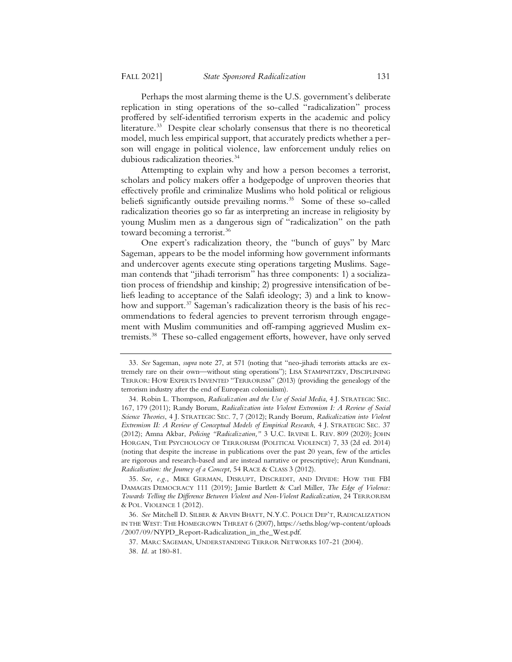Perhaps the most alarming theme is the U.S. government's deliberate replication in sting operations of the so-called "radicalization" process proffered by self-identified terrorism experts in the academic and policy literature.<sup>33</sup> Despite clear scholarly consensus that there is no theoretical model, much less empirical support, that accurately predicts whether a person will engage in political violence, law enforcement unduly relies on dubious radicalization theories.34

Attempting to explain why and how a person becomes a terrorist, scholars and policy makers offer a hodgepodge of unproven theories that effectively profile and criminalize Muslims who hold political or religious beliefs significantly outside prevailing norms.<sup>35</sup> Some of these so-called radicalization theories go so far as interpreting an increase in religiosity by young Muslim men as a dangerous sign of "radicalization" on the path toward becoming a terrorist.<sup>36</sup>

One expert's radicalization theory, the "bunch of guys" by Marc Sageman, appears to be the model informing how government informants and undercover agents execute sting operations targeting Muslims. Sageman contends that "jihadi terrorism" has three components: 1) a socialization process of friendship and kinship; 2) progressive intensification of beliefs leading to acceptance of the Salafi ideology; 3) and a link to knowhow and support.<sup>37</sup> Sageman's radicalization theory is the basis of his recommendations to federal agencies to prevent terrorism through engagement with Muslim communities and off-ramping aggrieved Muslim extremists.38 These so-called engagement efforts, however, have only served

<sup>33</sup>*. See* Sageman, *supra* note 27, at 571 (noting that "neo-jihadi terrorists attacks are extremely rare on their own—without sting operations"); LISA STAMPNITZKY, DISCIPLINING TERROR: HOW EXPERTS INVENTED "TERRORISM" (2013) (providing the genealogy of the terrorism industry after the end of European colonialism).

<sup>34.</sup> Robin L. Thompson, *Radicalization and the Use of Social Media*, 4 J. STRATEGIC SEC. 167, 179 (2011); Randy Borum, *Radicalization into Violent Extremism I: A Review of Social Science Theories*, 4 J. STRATEGIC SEC. 7, 7 (2012); Randy Borum, *Radicalization into Violent Extremism II: A Review of Conceptual Models of Empirical Research*, 4 J. STRATEGIC SEC. 37 (2012); Amna Akbar, *Policing "Radicalization,"* 3 U.C. IRVINE L. REV. 809 (2020); JOHN HORGAN, THE PSYCHOLOGY OF TERRORISM (POLITICAL VIOLENCE) 7, 33 (2d ed. 2014) (noting that despite the increase in publications over the past 20 years, few of the articles are rigorous and research-based and are instead narrative or prescriptive); Arun Kundnani, *Radicalisation: the Journey of a Concept*, 54 RACE & CLASS 3 (2012).

<sup>35</sup>*. See, e.g.*, MIKE GERMAN, DISRUPT, DISCREDIT, AND DIVIDE: HOW THE FBI DAMAGES DEMOCRACY 111 (2019); Jamie Bartlett & Carl Miller, *The Edge of Violence: Towards Telling the Difference Between Violent and Non-Violent Radicalization*, 24 TERRORISM & POL. VIOLENCE 1 (2012).

<sup>36</sup>*. See* Mitchell D. SILBER & ARVIN BHATT, N.Y.C. POLICE DEP'T, RADICALIZATION IN THE WEST: THE HOMEGROWN THREAT 6 (2007), https://seths.blog/wp-content/uploads /2007/09/NYPD\_Report-Radicalization\_in\_the\_West.pdf.

<sup>37.</sup> MARC SAGEMAN, UNDERSTANDING TERROR NETWORKS 107-21 (2004).

<sup>38</sup>*. Id.* at 180-81.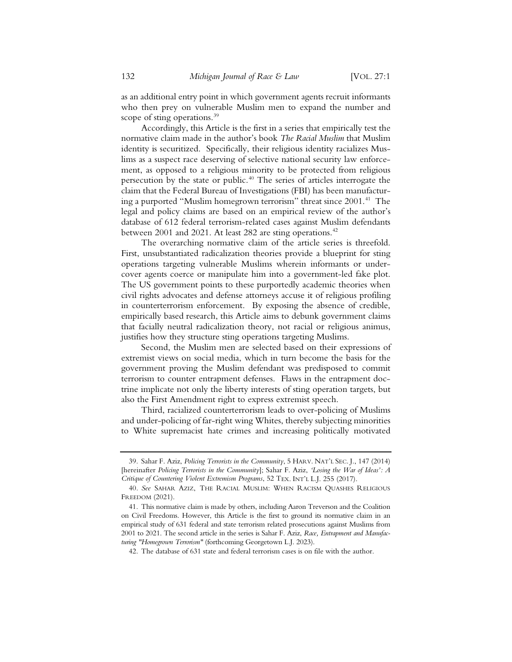as an additional entry point in which government agents recruit informants who then prey on vulnerable Muslim men to expand the number and scope of sting operations.<sup>39</sup>

Accordingly, this Article is the first in a series that empirically test the normative claim made in the author's book *The Racial Muslim* that Muslim identity is securitized. Specifically, their religious identity racializes Muslims as a suspect race deserving of selective national security law enforcement, as opposed to a religious minority to be protected from religious persecution by the state or public.40 The series of articles interrogate the claim that the Federal Bureau of Investigations (FBI) has been manufacturing a purported "Muslim homegrown terrorism" threat since  $2001<sup>41</sup>$  The legal and policy claims are based on an empirical review of the author's database of 612 federal terrorism-related cases against Muslim defendants between 2001 and 2021. At least 282 are sting operations.<sup>42</sup>

The overarching normative claim of the article series is threefold. First, unsubstantiated radicalization theories provide a blueprint for sting operations targeting vulnerable Muslims wherein informants or undercover agents coerce or manipulate him into a government-led fake plot. The US government points to these purportedly academic theories when civil rights advocates and defense attorneys accuse it of religious profiling in counterterrorism enforcement. By exposing the absence of credible, empirically based research, this Article aims to debunk government claims that facially neutral radicalization theory, not racial or religious animus, justifies how they structure sting operations targeting Muslims.

Second, the Muslim men are selected based on their expressions of extremist views on social media, which in turn become the basis for the government proving the Muslim defendant was predisposed to commit terrorism to counter entrapment defenses. Flaws in the entrapment doctrine implicate not only the liberty interests of sting operation targets, but also the First Amendment right to express extremist speech.

Third, racialized counterterrorism leads to over-policing of Muslims and under-policing of far-right wing Whites, thereby subjecting minorities to White supremacist hate crimes and increasing politically motivated

<sup>39.</sup> Sahar F. Aziz, *Policing Terrorists in the Community*, 5 HARV. NAT'L SEC. J., 147 (2014) [hereinafter *Policing Terrorists in the Community*]; Sahar F. Aziz, *'Losing the War of Ideas': A Critique of Countering Violent Extremism Programs*, 52 TEX. INT'L L.J. 255 (2017).

<sup>40</sup>*. See* SAHAR AZIZ, THE RACIAL MUSLIM: WHEN RACISM QUASHES RELIGIOUS FREEDOM (2021).

<sup>41.</sup> This normative claim is made by others, including Aaron Treverson and the Coalition on Civil Freedoms. However, this Article is the first to ground its normative claim in an empirical study of 631 federal and state terrorism related prosecutions against Muslims from 2001 to 2021. The second article in the series is Sahar F. Aziz, *Race, Entrapment and Manufacturing "Homegrown Terrorism"* (forthcoming Georgetown L.J. 2023).

<sup>42.</sup> The database of 631 state and federal terrorism cases is on file with the author.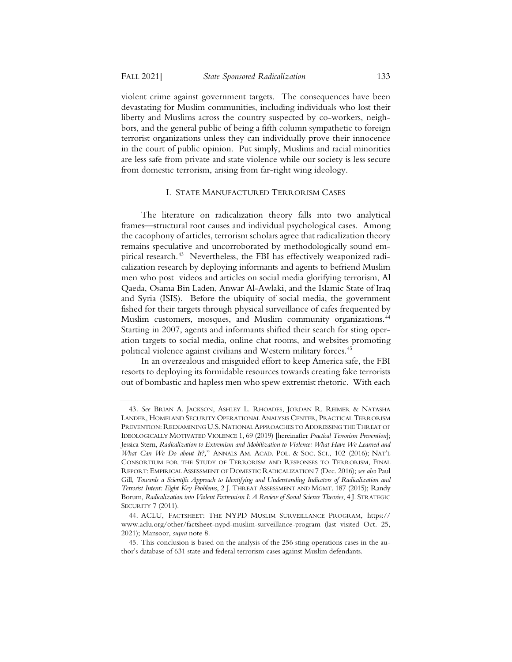violent crime against government targets. The consequences have been devastating for Muslim communities, including individuals who lost their liberty and Muslims across the country suspected by co-workers, neighbors, and the general public of being a fifth column sympathetic to foreign terrorist organizations unless they can individually prove their innocence in the court of public opinion. Put simply, Muslims and racial minorities are less safe from private and state violence while our society is less secure from domestic terrorism, arising from far-right wing ideology.

#### I. STATE MANUFACTURED TERRORISM CASES

The literature on radicalization theory falls into two analytical frames—structural root causes and individual psychological cases. Among the cacophony of articles, terrorism scholars agree that radicalization theory remains speculative and uncorroborated by methodologically sound empirical research.<sup>43</sup> Nevertheless, the FBI has effectively weaponized radicalization research by deploying informants and agents to befriend Muslim men who post videos and articles on social media glorifying terrorism, Al Qaeda, Osama Bin Laden, Anwar Al-Awlaki, and the Islamic State of Iraq and Syria (ISIS). Before the ubiquity of social media, the government fished for their targets through physical surveillance of cafes frequented by Muslim customers, mosques, and Muslim community organizations.<sup>44</sup> Starting in 2007, agents and informants shifted their search for sting operation targets to social media, online chat rooms, and websites promoting political violence against civilians and Western military forces.<sup>45</sup>

In an overzealous and misguided effort to keep America safe, the FBI resorts to deploying its formidable resources towards creating fake terrorists out of bombastic and hapless men who spew extremist rhetoric. With each

<sup>43</sup>*. See* BRIAN A. JACKSON, ASHLEY L. RHOADES, JORDAN R. REIMER & NATASHA LANDER, HOMELAND SECURITY OPERATIONAL ANALYSIS CENTER, PRACTICAL TERRORISM PREVENTION: REEXAMINING U.S. NATIONAL APPROACHES TO ADDRESSING THE THREAT OF IDEOLOGICALLY MOTIVATED VIOLENCE 1, 69 (2019) [hereinafter *Practical Terrorism Prevention*]; Jessica Stern, *Radicalization to Extremism and Mobilization to Violence: What Have We Learned and What Can We Do about It?,*" ANNALS AM. ACAD. POL. & SOC. SCI., 102 (2016); NAT'L CONSORTIUM FOR THE STUDY OF TERRORISM AND RESPONSES TO TERRORISM, FINAL REPORT: EMPIRICAL ASSESSMENT OF DOMESTIC RADICALIZATION 7 (Dec. 2016); *see also* Paul Gill, *Towards a Scientific Approach to Identifying and Understanding Indicators of Radicalization and Terrorist Intent: Eight Key Problems*, 2 J. THREAT ASSESSMENT AND MGMT. 187 (2015); Randy Borum, *Radicalization into Violent Extremism I: A Review of Social Science Theories*, 4 J. STRATEGIC SECURITY 7 (2011).

<sup>44.</sup> ACLU, FACTSHEET: THE NYPD MUSLIM SURVEILLANCE PROGRAM, https:// www.aclu.org/other/factsheet-nypd-muslim-surveillance-program (last visited Oct. 25, 2021); Mansoor, *supra* note 8.

<sup>45.</sup> This conclusion is based on the analysis of the 256 sting operations cases in the author's database of 631 state and federal terrorism cases against Muslim defendants.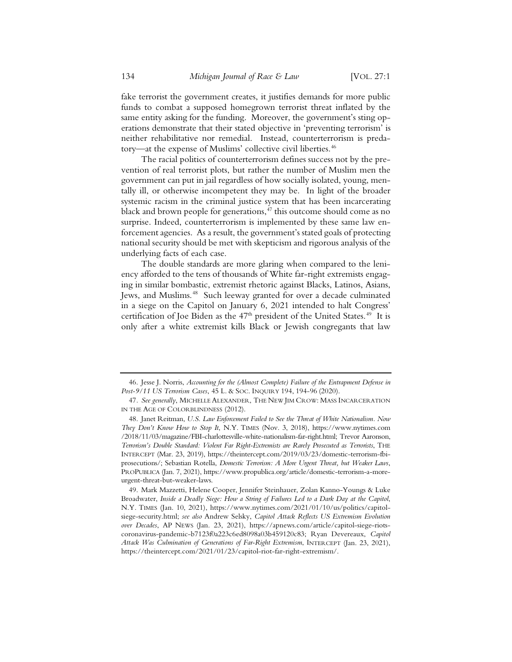fake terrorist the government creates, it justifies demands for more public funds to combat a supposed homegrown terrorist threat inflated by the same entity asking for the funding. Moreover, the government's sting operations demonstrate that their stated objective in 'preventing terrorism' is neither rehabilitative nor remedial. Instead, counterterrorism is predatory—at the expense of Muslims' collective civil liberties.<sup>46</sup>

The racial politics of counterterrorism defines success not by the prevention of real terrorist plots, but rather the number of Muslim men the government can put in jail regardless of how socially isolated, young, mentally ill, or otherwise incompetent they may be. In light of the broader systemic racism in the criminal justice system that has been incarcerating black and brown people for generations,  $47$  this outcome should come as no surprise. Indeed, counterterrorism is implemented by these same law enforcement agencies. As a result, the government's stated goals of protecting national security should be met with skepticism and rigorous analysis of the underlying facts of each case.

The double standards are more glaring when compared to the leniency afforded to the tens of thousands of White far-right extremists engaging in similar bombastic, extremist rhetoric against Blacks, Latinos, Asians, Jews, and Muslims.<sup>48</sup> Such leeway granted for over a decade culminated in a siege on the Capitol on January 6, 2021 intended to halt Congress' certification of Joe Biden as the 47<sup>th</sup> president of the United States.<sup>49</sup> It is only after a white extremist kills Black or Jewish congregants that law

<sup>46.</sup> Jesse J. Norris, *Accounting for the (Almost Complete) Failure of the Entrapment Defense in Post-9/11 US Terrorism Cases*, 45 L. & SOC. INQUIRY 194, 194-96 (2020).

<sup>47</sup>*. See generally*, MICHELLE ALEXANDER, THE NEW JIM CROW: MASS INCARCERATION IN THE AGE OF COLORBLINDNESS (2012).

<sup>48.</sup> Janet Reitman, *U.S. Law Enforcement Failed to See the Threat of White Nationalism. Now They Don't Know How to Stop It*, N.Y. TIMES (Nov. 3, 2018), https://www.nytimes.com /2018/11/03/magazine/FBI-charlottesville-white-nationalism-far-right.html; Trevor Aaronson, *Terrorism's Double Standard: Violent Far Right-Extremists are Rarely Prosecuted as Terrorists*, THE INTERCEPT (Mar. 23, 2019), https://theintercept.com/2019/03/23/domestic-terrorism-fbiprosecutions/; Sebastian Rotella, *Domestic Terrorism: A More Urgent Threat, but Weaker Laws*, PROPUBLICA (Jan. 7, 2021), https://www.propublica.org/article/domestic-terrorism-a-moreurgent-threat-but-weaker-laws.

<sup>49.</sup> Mark Mazzetti, Helene Cooper, Jennifer Steinhauer, Zolan Kanno-Youngs & Luke Broadwater, *Inside a Deadly Siege: How a String of Failures Led to a Dark Day at the Capitol*, N.Y. TIMES (Jan. 10, 2021), https://www.nytimes.com/2021/01/10/us/politics/capitolsiege-security.html; *see also* Andrew Selsky, *Capitol Attack Reflects US Extremism Evolution over Decades*, AP NEWS (Jan. 23, 2021), https://apnews.com/article/capitol-siege-riotscoronavirus-pandemic-b7123f0a223c6ed8098a03b459120c83; Ryan Devereaux, *Capitol Attack Was Culmination of Generations of Far-Right Extremism*, INTERCEPT (Jan. 23, 2021), https://theintercept.com/2021/01/23/capitol-riot-far-right-extremism/.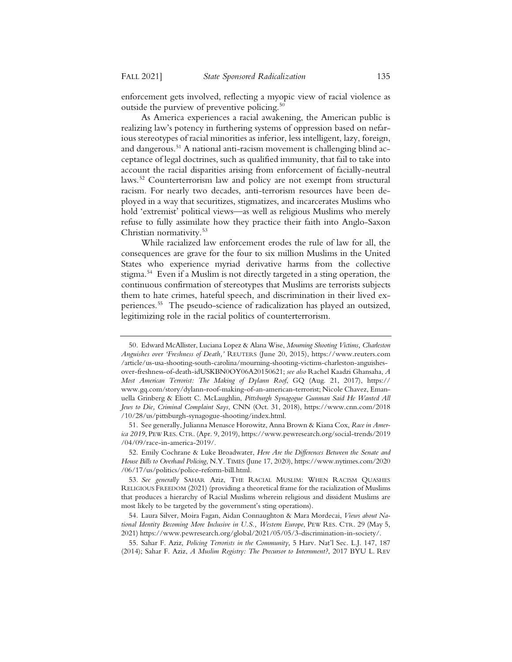enforcement gets involved, reflecting a myopic view of racial violence as outside the purview of preventive policing. $50$ 

As America experiences a racial awakening, the American public is realizing law's potency in furthering systems of oppression based on nefarious stereotypes of racial minorities as inferior, less intelligent, lazy, foreign, and dangerous.<sup>51</sup> A national anti-racism movement is challenging blind acceptance of legal doctrines, such as qualified immunity, that fail to take into account the racial disparities arising from enforcement of facially-neutral laws.52 Counterterrorism law and policy are not exempt from structural racism. For nearly two decades, anti-terrorism resources have been deployed in a way that securitizes, stigmatizes, and incarcerates Muslims who hold 'extremist' political views—as well as religious Muslims who merely refuse to fully assimilate how they practice their faith into Anglo-Saxon Christian normativity.53

While racialized law enforcement erodes the rule of law for all, the consequences are grave for the four to six million Muslims in the United States who experience myriad derivative harms from the collective stigma.54 Even if a Muslim is not directly targeted in a sting operation, the continuous confirmation of stereotypes that Muslims are terrorists subjects them to hate crimes, hateful speech, and discrimination in their lived experiences.55 The pseudo-science of radicalization has played an outsized, legitimizing role in the racial politics of counterterrorism.

<sup>50.</sup> Edward McAllister, Luciana Lopez & Alana Wise, *Mourning Shooting Victims, Charleston Anguishes over 'Freshness of Death,'* REUTERS (June 20, 2015), https://www.reuters.com /article/us-usa-shooting-south-carolina/mourning-shooting-victims-charleston-anguishesover-freshness-of-death-idUSKBN0OY06A20150621; *see also* Rachel Kaadzi Ghansaha, *A Most American Terrorist: The Making of Dylann Roof*, GQ (Aug. 21, 2017), https:// www.gq.com/story/dylann-roof-making-of-an-american-terrorist; Nicole Chavez, Emanuella Grinberg & Eliott C. McLaughlin, *Pittsburgh Synagogue Gunman Said He Wanted All Jews to Die, Criminal Complaint Says*, CNN (Oct. 31, 2018), https://www.cnn.com/2018 /10/28/us/pittsburgh-synagogue-shooting/index.html.

<sup>51.</sup> See generally, Julianna Menasce Horowitz, Anna Brown & Kiana Cox, *Race in America 2019*, PEW RES. CTR. (Apr. 9, 2019), https://www.pewresearch.org/social-trends/2019 /04/09/race-in-america-2019/.

<sup>52.</sup> Emily Cochrane & Luke Broadwater, *Here Are the Differences Between the Senate and House Bills to Overhaul Policing*, N.Y. TIMES (June 17, 2020), https://www.nytimes.com/2020 /06/17/us/politics/police-reform-bill.html.

<sup>53</sup>*. See generally* SAHAR Aziz, THE RACIAL MUSLIM: WHEN RACISM QUASHES RELIGIOUS FREEDOM (2021) (providing a theoretical frame for the racialization of Muslims that produces a hierarchy of Racial Muslims wherein religious and dissident Muslims are most likely to be targeted by the government's sting operations).

<sup>54.</sup> Laura Silver, Moira Fagan, Aidan Connaughton & Mara Mordecai, *Views about National Identity Becoming More Inclusive in U.S., Western Europe*, PEW RES. CTR. 29 (May 5, 2021) https://www.pewresearch.org/global/2021/05/05/3-discrimination-in-society/.

<sup>55.</sup> Sahar F. Aziz, *Policing Terrorists in the Community*, 5 Harv. Nat'l Sec. L.J. 147, 187 (2014); Sahar F. Aziz, *A Muslim Registry: The Precursor to Internment?*, 2017 BYU L. REV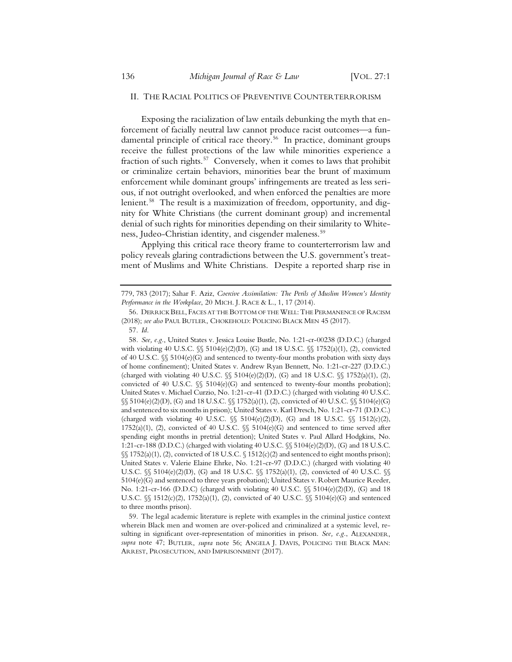#### II. THE RACIAL POLITICS OF PREVENTIVE COUNTERTERRORISM

Exposing the racialization of law entails debunking the myth that enforcement of facially neutral law cannot produce racist outcomes—a fundamental principle of critical race theory.<sup>56</sup> In practice, dominant groups receive the fullest protections of the law while minorities experience a fraction of such rights.<sup>57</sup> Conversely, when it comes to laws that prohibit or criminalize certain behaviors, minorities bear the brunt of maximum enforcement while dominant groups' infringements are treated as less serious, if not outright overlooked, and when enforced the penalties are more lenient.<sup>58</sup> The result is a maximization of freedom, opportunity, and dignity for White Christians (the current dominant group) and incremental denial of such rights for minorities depending on their similarity to Whiteness, Judeo-Christian identity, and cisgender maleness.<sup>59</sup>

Applying this critical race theory frame to counterterrorism law and policy reveals glaring contradictions between the U.S. government's treatment of Muslims and White Christians. Despite a reported sharp rise in

58*. See, e.g.*, United States v. Jessica Louise Bustle, No. 1:21-cr-00238 (D.D.C.) (charged with violating 40 U.S.C. §§ 5104(e)(2)(D), (G) and 18 U.S.C. §§ 1752(a)(1), (2), convicted of 40 U.S.C. §§ 5104(e)(G) and sentenced to twenty-four months probation with sixty days of home confinement); United States v. Andrew Ryan Bennett, No. 1:21-cr-227 (D.D.C.) (charged with violating 40 U.S.C.  $\frac{1}{5}$  5104(e)(2)(D), (G) and 18 U.S.C.  $\frac{1}{5}$  1752(a)(1), (2), convicted of 40 U.S.C.  $\frac{6}{5}$  5104(e)(G) and sentenced to twenty-four months probation); United States v. Michael Curzio, No. 1:21-cr-41 (D.D.C.) (charged with violating 40 U.S.C. §§ 5104(e)(2)(D), (G) and 18 U.S.C. §§ 1752(a)(1), (2), convicted of 40 U.S.C. §§ 5104(e)(G) and sentenced to six months in prison); United States v. Karl Dresch, No. 1:21-cr-71 (D.D.C.) (charged with violating 40 U.S.C.  $\frac{6}{5}$  5104(e)(2)(D), (G) and 18 U.S.C.  $\frac{6}{5}$  1512(c)(2), 1752(a)(1), (2), convicted of 40 U.S.C.  $\S$  5104(e)(G) and sentenced to time served after spending eight months in pretrial detention); United States v. Paul Allard Hodgkins, No. 1:21-cr-188 (D.D.C.) (charged with violating 40 U.S.C. §§ 5104(e)(2)(D), (G) and 18 U.S.C. §§ 1752(a)(1), (2), convicted of 18 U.S.C. § 1512(c)(2) and sentenced to eight months prison); United States v. Valerie Elaine Ehrke, No. 1:21-cr-97 (D.D.C.) (charged with violating 40 U.S.C.  $\{\$ 5104(e)(2)(D), (G) \text{ and } 18 \text{ U.S.C. } \$  $\{ $1752(a)(1), (2), \text{ convicted of } 40 \text{ U.S.C. } \}$ 5104(e)(G) and sentenced to three years probation); United States v. Robert Maurice Reeder, No. 1:21-cr-166 (D.D.C) (charged with violating 40 U.S.C. §§ 5104(e)(2)(D), (G) and 18 U.S.C.  $\{\$ 1512(c)(2), 1752(a)(1), (2),$  convicted of 40 U.S.C.  $\$\$ 5104(e)(G)$  and sentenced to three months prison).

59. The legal academic literature is replete with examples in the criminal justice context wherein Black men and women are over-policed and criminalized at a systemic level, resulting in significant over-representation of minorities in prison. *See, e.g.*, ALEXANDER, *supra* note 47; BUTLER, *supra* note 56; ANGELA J. DAVIS, POLICING THE BLACK MAN: ARREST, PROSECUTION, AND IMPRISONMENT (2017).

<sup>779, 783 (2017);</sup> Sahar F. Aziz, *Coercive Assimilation: The Perils of Muslim Women's Identity Performance in the Workplace*, 20 MICH. J. RACE & L., 1, 17 (2014).

<sup>56.</sup> DERRICK BELL, FACES AT THE BOTTOM OF THE WELL: THE PERMANENCE OF RACISM (2018); *see also* PAUL BUTLER, CHOKEHOLD: POLICING BLACK MEN 45 (2017).

<sup>57.</sup> *Id*.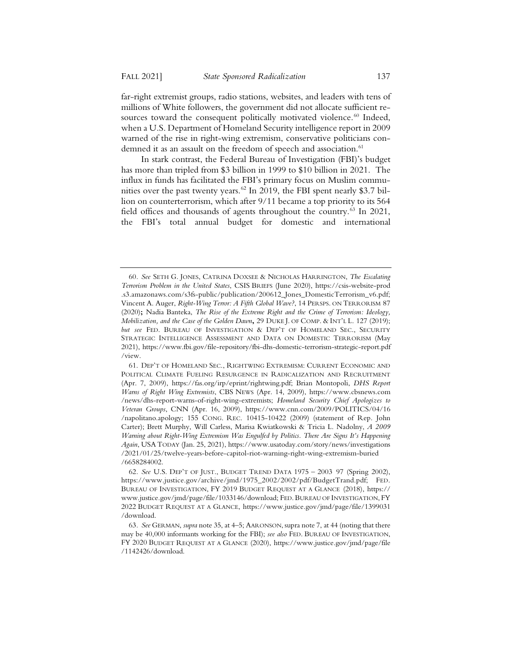far-right extremist groups, radio stations, websites, and leaders with tens of millions of White followers, the government did not allocate sufficient resources toward the consequent politically motivated violence.<sup>60</sup> Indeed, when a U.S. Department of Homeland Security intelligence report in 2009 warned of the rise in right-wing extremism, conservative politicians condemned it as an assault on the freedom of speech and association.<sup>61</sup>

In stark contrast, the Federal Bureau of Investigation (FBI)'s budget has more than tripled from \$3 billion in 1999 to \$10 billion in 2021. The influx in funds has facilitated the FBI's primary focus on Muslim communities over the past twenty years.<sup>62</sup> In 2019, the FBI spent nearly \$3.7 billion on counterterrorism, which after 9/11 became a top priority to its 564 field offices and thousands of agents throughout the country.<sup>63</sup> In 2021, the FBI's total annual budget for domestic and international

<sup>60</sup>*. See* SETH G. JONES, CATRINA DOXSEE & NICHOLAS HARRINGTON, *The Escalating Terrorism Problem in the United States*, CSIS BRIEFS (June 2020), https://csis-website-prod .s3.amazonaws.com/s3fs-public/publication/200612\_Jones\_DomesticTerrorism\_v6.pdf; Vincent A. Auger, *Right-Wing Terror: A Fifth Global Wave?*, 14 PERSPS. ON TERRORISM 87 (2020)**;** Nadia Banteka, *The Rise of the Extreme Right and the Crime of Terrorism: Ideology, Mobilization, and the Case of the Golden Dawn***,** 29 DUKE J. OF COMP.&INT'L L. 127 (2019); *but see* FED. BUREAU OF INVESTIGATION & DEP'T OF HOMELAND SEC., SECURITY STRATEGIC INTELLIGENCE ASSESSMENT AND DATA ON DOMESTIC TERRORISM (May 2021), https://www.fbi.gov/file-repository/fbi-dhs-domestic-terrorism-strategic-report.pdf /view.

<sup>61.</sup> DEP'T OF HOMELAND SEC., RIGHTWING EXTREMISM: CURRENT ECONOMIC AND POLITICAL CLIMATE FUELING RESURGENCE IN RADICALIZATION AND RECRUITMENT (Apr. 7, 2009), https://fas.org/irp/eprint/rightwing.pdf; Brian Montopoli, *DHS Report Warns of Right Wing Extremists*, CBS NEWS (Apr. 14, 2009), https://www.cbsnews.com /news/dhs-report-warns-of-right-wing-extremists; *Homeland Security Chief Apologizes to Veteran Groups*, CNN (Apr. 16, 2009), https://www.cnn.com/2009/POLITICS/04/16 /napolitano.apology; 155 CONG. REC. 10415-10422 (2009) (statement of Rep. John Carter); Brett Murphy, Will Carless, Marisa Kwiatkowski & Tricia L. Nadolny, *A 2009 Warning about Right-Wing Extremism Was Engulfed by Politics. There Are Signs It's Happening Again*, USA TODAY (Jan. 25, 2021), https://www.usatoday.com/story/news/investigations /2021/01/25/twelve-years-before-capitol-riot-warning-right-wing-extremism-buried /6658284002.

<sup>62</sup>*. See* U.S. DEP'T OF JUST., BUDGET TREND DATA 1975 – 2003 97 (Spring 2002), https://www.justice.gov/archive/jmd/1975\_2002/2002/pdf/BudgetTrand.pdf; FED. BUREAU OF INVESTIGATION, FY 2019 BUDGET REQUEST AT A GLANCE (2018), https:// www.justice.gov/jmd/page/file/1033146/download; FED. BUREAU OF INVESTIGATION, FY 2022 BUDGET REQUEST AT A GLANCE, https://www.justice.gov/jmd/page/file/1399031 /download.

<sup>63</sup>*. See* GERMAN, *supra* note 35, at 4–5; AARONSON, supra note 7, at 44 (noting that there may be 40,000 informants working for the FBI); *see also* FED. BUREAU OF INVESTIGATION, FY 2020 BUDGET REQUEST AT A GLANCE (2020), https://www.justice.gov/jmd/page/file /1142426/download.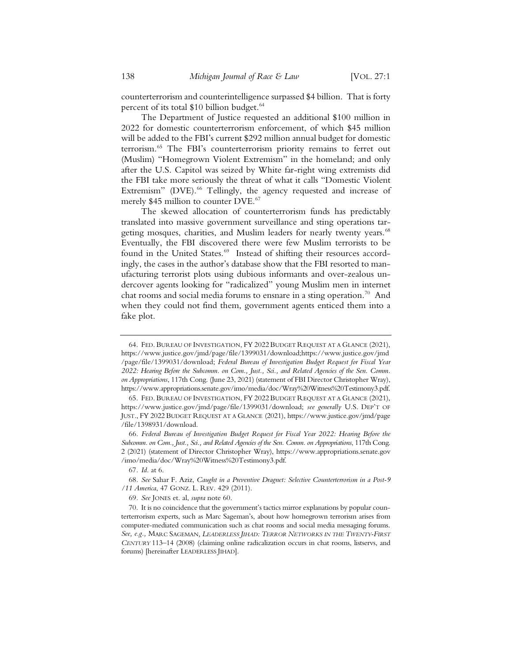counterterrorism and counterintelligence surpassed \$4 billion. That is forty percent of its total \$10 billion budget.<sup>64</sup>

The Department of Justice requested an additional \$100 million in 2022 for domestic counterterrorism enforcement, of which \$45 million will be added to the FBI's current \$292 million annual budget for domestic terrorism.65 The FBI's counterterrorism priority remains to ferret out (Muslim) "Homegrown Violent Extremism" in the homeland; and only after the U.S. Capitol was seized by White far-right wing extremists did the FBI take more seriously the threat of what it calls "Domestic Violent Extremism" (DVE).<sup>66</sup> Tellingly, the agency requested and increase of merely \$45 million to counter DVE.<sup>67</sup>

The skewed allocation of counterterrorism funds has predictably translated into massive government surveillance and sting operations targeting mosques, charities, and Muslim leaders for nearly twenty years.<sup>68</sup> Eventually, the FBI discovered there were few Muslim terrorists to be found in the United States.<sup>69</sup> Instead of shifting their resources accordingly, the cases in the author's database show that the FBI resorted to manufacturing terrorist plots using dubious informants and over-zealous undercover agents looking for "radicalized" young Muslim men in internet chat rooms and social media forums to ensnare in a sting operation.<sup>70</sup> And when they could not find them, government agents enticed them into a fake plot.

<sup>64.</sup> FED. BUREAU OF INVESTIGATION, FY 2022 BUDGET REQUEST AT A GLANCE (2021), https://www.justice.gov/jmd/page/file/1399031/download;https://www.justice.gov/jmd /page/file/1399031/download; *Federal Bureau of Investigation Budget Request for Fiscal Year 2022: Hearing Before the Subcomm. on Com., Just., Sci., and Related Agencies of the Sen. Comm. on Appropriations*, 117th Cong. (June 23, 2021) (statement of FBI Director Christopher Wray), https://www.appropriations.senate.gov/imo/media/doc/Wray%20Witness%20Testimony3.pdf.

<sup>65.</sup> FED. BUREAU OF INVESTIGATION, FY 2022 BUDGET REQUEST AT A GLANCE (2021), https://www.justice.gov/jmd/page/file/1399031/download; *see generally* U.S. DEP'T OF JUST., FY 2022 BUDGET REQUEST AT A GLANCE (2021), https://www.justice.gov/jmd/page /file/1398931/download.

<sup>66</sup>*. Federal Bureau of Investigation Budget Request for Fiscal Year 2022: Hearing Before the Subcomm. on Com., Just., Sci., and Related Agencies of the Sen. Comm. on Appropriations*, 117th Cong. 2 (2021) (statement of Director Christopher Wray), https://www.appropriations.senate.gov /imo/media/doc/Wray%20Witness%20Testimony3.pdf.

<sup>67</sup>*. Id*. at 6.

<sup>68</sup>*. See* Sahar F. Aziz, *Caught in a Preventive Dragnet: Selective Counterterrorism in a Post-9 /11 America*, 47 GONZ. L. REV. 429 (2011).

<sup>69</sup>*. See* JONES et. al, *supra* note 60.

<sup>70.</sup> It is no coincidence that the government's tactics mirror explanations by popular counterterrorism experts, such as Marc Sageman's, about how homegrown terrorism arises from computer-mediated communication such as chat rooms and social media messaging forums. *See, e.g.,* MARC SAGEMAN*, LEADERLESS JIHAD: TERROR NETWORKS IN THE TWENTY-FIRST CENTURY* 113–14 (2008) (claiming online radicalization occurs in chat rooms, listservs, and forums) [hereinafter LEADERLESS JIHAD].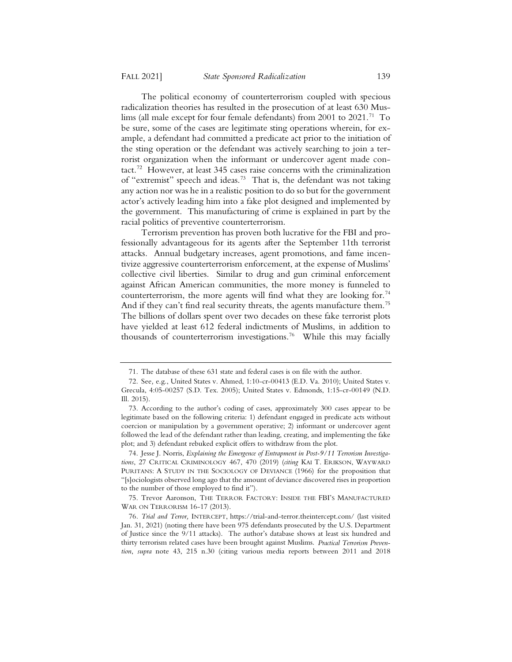The political economy of counterterrorism coupled with specious radicalization theories has resulted in the prosecution of at least 630 Muslims (all male except for four female defendants) from 2001 to 2021.<sup>71</sup> To be sure, some of the cases are legitimate sting operations wherein, for example, a defendant had committed a predicate act prior to the initiation of the sting operation or the defendant was actively searching to join a terrorist organization when the informant or undercover agent made contact.<sup>72</sup> However, at least 345 cases raise concerns with the criminalization of "extremist" speech and ideas.<sup>73</sup> That is, the defendant was not taking any action nor was he in a realistic position to do so but for the government actor's actively leading him into a fake plot designed and implemented by the government. This manufacturing of crime is explained in part by the racial politics of preventive counterterrorism.

Terrorism prevention has proven both lucrative for the FBI and professionally advantageous for its agents after the September 11th terrorist attacks. Annual budgetary increases, agent promotions, and fame incentivize aggressive counterterrorism enforcement, at the expense of Muslims' collective civil liberties. Similar to drug and gun criminal enforcement against African American communities, the more money is funneled to counterterrorism, the more agents will find what they are looking for.<sup>74</sup> And if they can't find real security threats, the agents manufacture them.<sup>75</sup> The billions of dollars spent over two decades on these fake terrorist plots have yielded at least 612 federal indictments of Muslims, in addition to thousands of counterterrorism investigations.<sup>76</sup> While this may facially

<sup>71.</sup> The database of these 631 state and federal cases is on file with the author.

<sup>72.</sup> See*,* e.g., United States v. Ahmed, 1:10-cr-00413 (E.D. Va. 2010); United States v. Grecula, 4:05-00257 (S.D. Tex. 2005); United States v. Edmonds, 1:15-cr-00149 (N.D. Ill. 2015).

<sup>73.</sup> According to the author's coding of cases, approximately 300 cases appear to be legitimate based on the following criteria: 1) defendant engaged in predicate acts without coercion or manipulation by a government operative; 2) informant or undercover agent followed the lead of the defendant rather than leading, creating, and implementing the fake plot; and 3) defendant rebuked explicit offers to withdraw from the plot.

<sup>74.</sup> Jesse J. Norris, *Explaining the Emergence of Entrapment in Post-9/11 Terrorism Investigations*, 27 CRITICAL CRIMINOLOGY 467, 470 (2019) (*citing* KAI T. ERIKSON, WAYWARD PURITANS: A STUDY IN THE SOCIOLOGY OF DEVIANCE (1966) for the proposition that "[s]ociologists observed long ago that the amount of deviance discovered rises in proportion to the number of those employed to find it").

<sup>75.</sup> Trevor Aaronson, THE TERROR FACTORY: INSIDE THE FBI'S MANUFACTURED WAR ON TERRORISM 16-17 (2013).

<sup>76</sup>*. Trial and Terror,* INTERCEPT, https://trial-and-terror.theintercept.com/ (last visited Jan. 31, 2021) (noting there have been 975 defendants prosecuted by the U.S. Department of Justice since the 9/11 attacks). The author's database shows at least six hundred and thirty terrorism related cases have been brought against Muslims. *Practical Terrorism Prevention*, *supra* note 43, 215 n.30 (citing various media reports between 2011 and 2018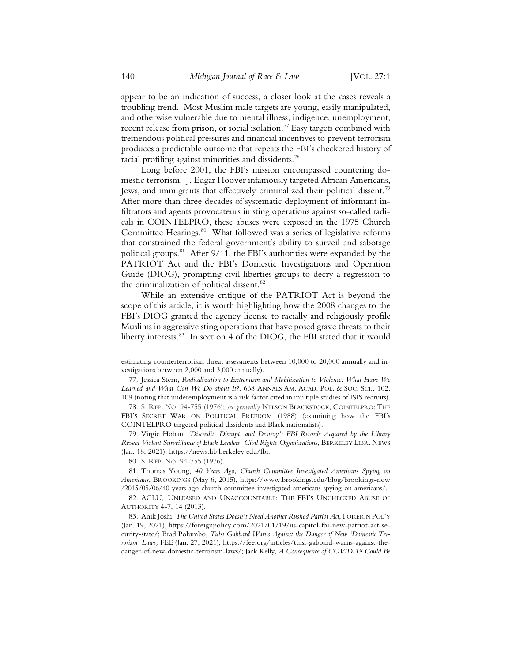appear to be an indication of success, a closer look at the cases reveals a troubling trend. Most Muslim male targets are young, easily manipulated, and otherwise vulnerable due to mental illness, indigence, unemployment, recent release from prison, or social isolation.<sup>77</sup> Easy targets combined with tremendous political pressures and financial incentives to prevent terrorism produces a predictable outcome that repeats the FBI's checkered history of racial profiling against minorities and dissidents.<sup>78</sup>

Long before 2001, the FBI's mission encompassed countering domestic terrorism. J. Edgar Hoover infamously targeted African Americans, Jews, and immigrants that effectively criminalized their political dissent.<sup>79</sup> After more than three decades of systematic deployment of informant infiltrators and agents provocateurs in sting operations against so-called radicals in COINTELPRO, these abuses were exposed in the 1975 Church Committee Hearings.<sup>80</sup> What followed was a series of legislative reforms that constrained the federal government's ability to surveil and sabotage political groups.81 After 9/11, the FBI's authorities were expanded by the PATRIOT Act and the FBI's Domestic Investigations and Operation Guide (DIOG), prompting civil liberties groups to decry a regression to the criminalization of political dissent.<sup>82</sup>

While an extensive critique of the PATRIOT Act is beyond the scope of this article, it is worth highlighting how the 2008 changes to the FBI's DIOG granted the agency license to racially and religiously profile Muslims in aggressive sting operations that have posed grave threats to their liberty interests.<sup>83</sup> In section 4 of the DIOG, the FBI stated that it would

80. S. REP. NO. 94-755 (1976).

81. Thomas Young, *40 Years Ago, Church Committee Investigated Americans Spying on Americans*, BROOKINGS (May 6, 2015), https://www.brookings.edu/blog/brookings-now /2015/05/06/40-years-ago-church-committee-investigated-americans-spying-on-americans/.

82. ACLU, UNLEASED AND UNACCOUNTABLE: THE FBI'S UNCHECKED ABUSE OF AUTHORITY 4-7, 14 (2013).

83. Anik Joshi, *The United States Doesn't Need Another Rushed Patriot Act*, FOREIGN POL'Y (Jan. 19, 2021), https://foreignpolicy.com/2021/01/19/us-capitol-fbi-new-patriot-act-security-state/; Brad Polumbo, *Tulsi Gabbard Warns Against the Danger of New 'Domestic Terrorism' Laws,* FEE (Jan. 27, 2021), https://fee.org/articles/tulsi-gabbard-warns-against-thedanger-of-new-domestic-terrorism-laws/; Jack Kelly, *A Consequence of COVID-19 Could Be* 

estimating counterterrorism threat assessments between 10,000 to 20,000 annually and investigations between 2,000 and 3,000 annually).

<sup>77.</sup> Jessica Stern, *Radicalization to Extremism and Mobilization to Violence: What Have We Learned and What Can We Do about It?*, 668 ANNALS AM. ACAD. POL.&SOC. SCI., 102, 109 (noting that underemployment is a risk factor cited in multiple studies of ISIS recruits).

<sup>78.</sup> S. REP. NO. 94-755 (1976); *see generally* NELSON BLACKSTOCK, COINTELPRO: THE FBI'S SECRET WAR ON POLITICAL FREEDOM (1988) (examining how the FBI's COINTELPRO targeted political dissidents and Black nationalists).

<sup>79.</sup> Virgie Hoban, *'Discredit, Disrupt, and Destroy': FBI Records Acquired by the Library Reveal Violent Surveillance of Black Leaders, Civil Rights Organizations*, BERKELEY LIBR. NEWS (Jan. 18, 2021), https://news.lib.berkeley.edu/fbi.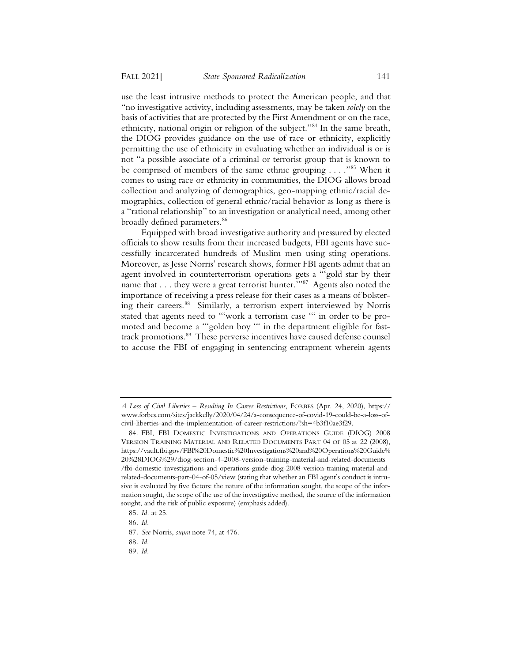use the least intrusive methods to protect the American people, and that "no investigative activity, including assessments, may be taken *solely* on the basis of activities that are protected by the First Amendment or on the race, ethnicity, national origin or religion of the subject."84 In the same breath, the DIOG provides guidance on the use of race or ethnicity, explicitly permitting the use of ethnicity in evaluating whether an individual is or is not "a possible associate of a criminal or terrorist group that is known to be comprised of members of the same ethnic grouping . . . . "85 When it comes to using race or ethnicity in communities, the DIOG allows broad collection and analyzing of demographics, geo-mapping ethnic/racial demographics, collection of general ethnic/racial behavior as long as there is a "rational relationship" to an investigation or analytical need, among other broadly defined parameters.<sup>86</sup>

Equipped with broad investigative authority and pressured by elected officials to show results from their increased budgets, FBI agents have successfully incarcerated hundreds of Muslim men using sting operations. Moreover, as Jesse Norris' research shows, former FBI agents admit that an agent involved in counterterrorism operations gets a "'gold star by their name that . . . they were a great terrorist hunter."<sup>87</sup> Agents also noted the importance of receiving a press release for their cases as a means of bolstering their careers.<sup>88</sup> Similarly, a terrorism expert interviewed by Norris stated that agents need to "'work a terrorism case '" in order to be promoted and become a "'golden boy "' in the department eligible for fasttrack promotions.<sup>89</sup> These perverse incentives have caused defense counsel to accuse the FBI of engaging in sentencing entrapment wherein agents

*A Loss of Civil Liberties – Resulting In Career Restrictions*, FORBES (Apr. 24, 2020), https:// www.forbes.com/sites/jackkelly/2020/04/24/a-consequence-of-covid-19-could-be-a-loss-ofcivil-liberties-and-the-implementation-of-career-restrictions/?sh=4b3f10ae3f29.

<sup>84.</sup> FBI, FBI DOMESTIC INVESTIGATIONS AND OPERATIONS GUIDE (DIOG) 2008 VERSION TRAINING MATERIAL AND RELATED DOCUMENTS PART 04 OF 05 at 22 (2008), https://vault.fbi.gov/FBI%20Domestic%20Investigations%20and%20Operations%20Guide% 20%28DIOG%29/diog-section-4-2008-version-training-material-and-related-documents /fbi-domestic-investigations-and-operations-guide-diog-2008-version-training-material-andrelated-documents-part-04-of-05/view (stating that whether an FBI agent's conduct is intrusive is evaluated by five factors: the nature of the information sought, the scope of the information sought, the scope of the use of the investigative method, the source of the information sought, and the risk of public exposure) (emphasis added).

<sup>85</sup>*. Id.* at 25.

<sup>86</sup>*. Id.*

<sup>87</sup>*. See* Norris, *supra* note 74, at 476.

<sup>88</sup>*. Id.*

<sup>89</sup>*. Id.*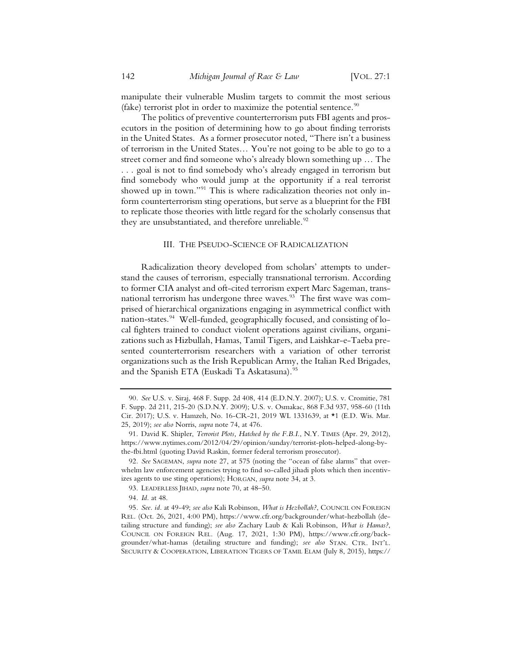manipulate their vulnerable Muslim targets to commit the most serious (fake) terrorist plot in order to maximize the potential sentence.<sup>90</sup>

The politics of preventive counterterrorism puts FBI agents and prosecutors in the position of determining how to go about finding terrorists in the United States. As a former prosecutor noted, "There isn't a business of terrorism in the United States… You're not going to be able to go to a street corner and find someone who's already blown something up … The . . . goal is not to find somebody who's already engaged in terrorism but find somebody who would jump at the opportunity if a real terrorist showed up in town."<sup>91</sup> This is where radicalization theories not only inform counterterrorism sting operations, but serve as a blueprint for the FBI to replicate those theories with little regard for the scholarly consensus that they are unsubstantiated, and therefore unreliable.<sup>92</sup>

#### III. THE PSEUDO-SCIENCE OF RADICALIZATION

Radicalization theory developed from scholars' attempts to understand the causes of terrorism, especially transnational terrorism. According to former CIA analyst and oft-cited terrorism expert Marc Sageman, transnational terrorism has undergone three waves.<sup>93</sup> The first wave was comprised of hierarchical organizations engaging in asymmetrical conflict with nation-states.<sup>94</sup> Well-funded, geographically focused, and consisting of local fighters trained to conduct violent operations against civilians, organizations such as Hizbullah, Hamas, Tamil Tigers, and Laishkar-e-Taeba presented counterterrorism researchers with a variation of other terrorist organizations such as the Irish Republican Army, the Italian Red Brigades, and the Spanish ETA (Euskadi Ta Askatasuna).<sup>95</sup>

<sup>90</sup>*. See* U.S. v. Siraj, 468 F. Supp. 2d 408, 414 (E.D.N.Y. 2007); U.S. v. Cromitie, 781 F. Supp. 2d 211, 215-20 (S.D.N.Y. 2009); U.S. v. Osmakac, 868 F.3d 937, 958-60 (11th Cir. 2017); U.S. v. Hamzeh, No. 16-CR-21, 2019 WL 1331639, at \*1 (E.D. Wis. Mar. 25, 2019); *see also* Norris, *supra* note 74, at 476.

<sup>91.</sup> David K. Shipler, *Terrorist Plots, Hatched by the F.B.I.*, N.Y. TIMES (Apr. 29, 2012), https://www.nytimes.com/2012/04/29/opinion/sunday/terrorist-plots-helped-along-bythe-fbi.html (quoting David Raskin, former federal terrorism prosecutor).

<sup>92</sup>*. See* SAGEMAN, *supra* note 27, at 575 (noting the "ocean of false alarms" that overwhelm law enforcement agencies trying to find so-called jihadi plots which then incentivizes agents to use sting operations); HORGAN, *supra* note 34, at 3.

<sup>93.</sup> LEADERLESS JIHAD, *supra* note 70, at 48–50.

<sup>94</sup>*. Id.* at 48.

<sup>95</sup>*. See. id.* at 49-49; *see also* Kali Robinson, *What is Hezbollah?*, COUNCIL ON FOREIGN REL. (Oct. 26, 2021, 4:00 PM), https://www.cfr.org/backgrounder/what-hezbollah (detailing structure and funding); *see also* Zachary Laub & Kali Robinson, *What is Hamas?*, COUNCIL ON FOREIGN REL. (Aug. 17, 2021, 1:30 PM), https://www.cfr.org/backgrounder/what-hamas (detailing structure and funding); *see also* STAN. CTR. INT'L. SECURITY & COOPERATION, LIBERATION TIGERS OF TAMIL ELAM (July 8, 2015), https://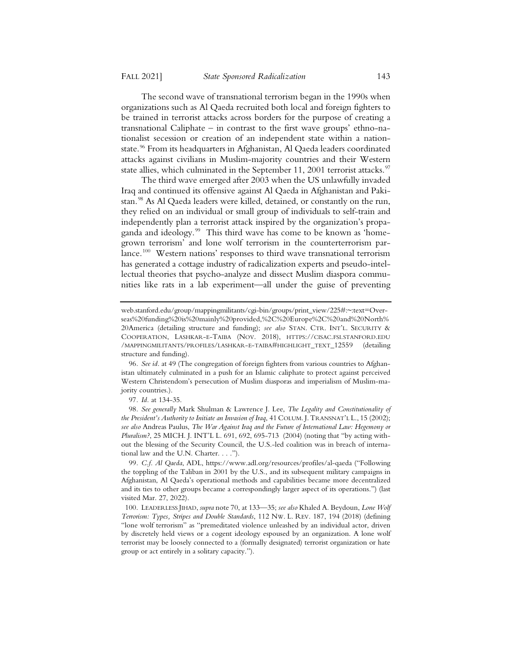The second wave of transnational terrorism began in the 1990s when organizations such as Al Qaeda recruited both local and foreign fighters to be trained in terrorist attacks across borders for the purpose of creating a transnational Caliphate – in contrast to the first wave groups' ethno-nationalist secession or creation of an independent state within a nationstate.<sup>96</sup> From its headquarters in Afghanistan, Al Qaeda leaders coordinated attacks against civilians in Muslim-majority countries and their Western state allies, which culminated in the September 11, 2001 terrorist attacks.<sup>97</sup>

The third wave emerged after 2003 when the US unlawfully invaded Iraq and continued its offensive against Al Qaeda in Afghanistan and Pakistan.<sup>98</sup> As Al Qaeda leaders were killed, detained, or constantly on the run, they relied on an individual or small group of individuals to self-train and independently plan a terrorist attack inspired by the organization's propaganda and ideology.<sup>99</sup> This third wave has come to be known as 'homegrown terrorism' and lone wolf terrorism in the counterterrorism parlance.100 Western nations' responses to third wave transnational terrorism has generated a cottage industry of radicalization experts and pseudo-intellectual theories that psycho-analyze and dissect Muslim diaspora communities like rats in a lab experiment—all under the guise of preventing

98*. See generally* Mark Shulman & Lawrence J. Lee, *The Legality and Constitutionality of the President's Authority to Initiate an Invasion of Iraq*, 41 COLUM. J. TRANSNAT'L L., 15 (2002); *see also* Andreas Paulus, *The War Against Iraq and the Future of International Law: Hegemony or Pluralism?*, 25 MICH. J. INT'L L. 691, 692, 695-713 (2004) (noting that "by acting without the blessing of the Security Council, the U.S.-led coalition was in breach of international law and the U.N. Charter. . . .").

99*. C.f. Al Qaeda*, ADL, https://www.adl.org/resources/profiles/al-qaeda ("Following the toppling of the Taliban in 2001 by the U.S., and its subsequent military campaigns in Afghanistan, Al Qaeda's operational methods and capabilities became more decentralized and its ties to other groups became a correspondingly larger aspect of its operations.") (last visited Mar. 27, 2022).

web.stanford.edu/group/mappingmilitants/cgi-bin/groups/print\_view/225#:~:text=Overseas%20funding%20is%20mainly%20provided,%2C%20Europe%2C%20and%20North% 20America (detailing structure and funding); *see also* STAN. CTR. INT'L. SECURITY & COOPERATION, LASHKAR-E-TAIBA (NOV. 2018), HTTPS://CISAC.FSI.STANFORD.EDU /MAPPINGMILITANTS/PROFILES/LASHKAR-E-TAIBA#HIGHLIGHT\_TEXT\_12559 (detailing structure and funding).

<sup>96</sup>*. See id.* at 49 (The congregation of foreign fighters from various countries to Afghanistan ultimately culminated in a push for an Islamic caliphate to protect against perceived Western Christendom's persecution of Muslim diasporas and imperialism of Muslim-majority countries.).

<sup>97</sup>*. Id.* at 134-35.

<sup>100.</sup> LEADERLESS JIHAD, *supra* note 70, at 133—35; *see also* Khaled A. Beydoun, *Lone Wolf Terrorism: Types, Stripes and Double Standards*, 112 NW. L. REV. 187, 194 (2018) (defining "lone wolf terrorism" as "premeditated violence unleashed by an individual actor, driven by discretely held views or a cogent ideology espoused by an organization. A lone wolf terrorist may be loosely connected to a (formally designated) terrorist organization or hate group or act entirely in a solitary capacity.").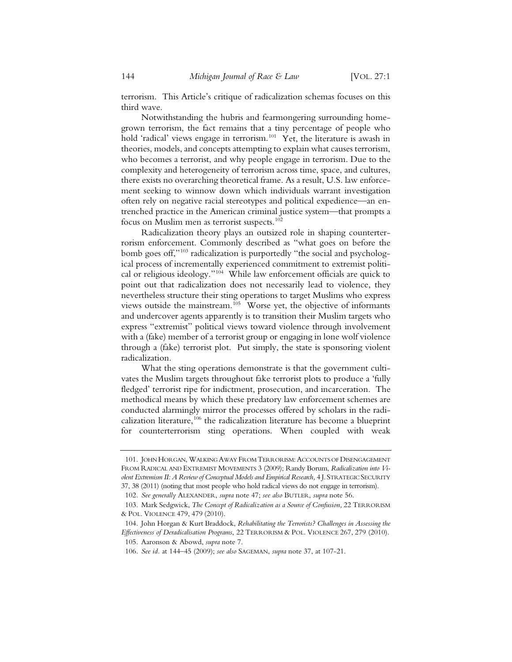terrorism. This Article's critique of radicalization schemas focuses on this third wave.

Notwithstanding the hubris and fearmongering surrounding homegrown terrorism, the fact remains that a tiny percentage of people who hold 'radical' views engage in terrorism.<sup>101</sup> Yet, the literature is awash in theories, models, and concepts attempting to explain what causes terrorism, who becomes a terrorist, and why people engage in terrorism. Due to the complexity and heterogeneity of terrorism across time, space, and cultures, there exists no overarching theoretical frame. As a result, U.S. law enforcement seeking to winnow down which individuals warrant investigation often rely on negative racial stereotypes and political expedience—an entrenched practice in the American criminal justice system—that prompts a focus on Muslim men as terrorist suspects.<sup>102</sup>

Radicalization theory plays an outsized role in shaping counterterrorism enforcement. Commonly described as "what goes on before the bomb goes off,"<sup>103</sup> radicalization is purportedly "the social and psychological process of incrementally experienced commitment to extremist political or religious ideology."104 While law enforcement officials are quick to point out that radicalization does not necessarily lead to violence, they nevertheless structure their sting operations to target Muslims who express views outside the mainstream.<sup>105</sup> Worse yet, the objective of informants and undercover agents apparently is to transition their Muslim targets who express "extremist" political views toward violence through involvement with a (fake) member of a terrorist group or engaging in lone wolf violence through a (fake) terrorist plot. Put simply, the state is sponsoring violent radicalization.

What the sting operations demonstrate is that the government cultivates the Muslim targets throughout fake terrorist plots to produce a 'fully fledged' terrorist ripe for indictment, prosecution, and incarceration. The methodical means by which these predatory law enforcement schemes are conducted alarmingly mirror the processes offered by scholars in the radicalization literature,<sup>106</sup> the radicalization literature has become a blueprint for counterterrorism sting operations. When coupled with weak

<sup>101.</sup> JOHN HORGAN, WALKING AWAY FROM TERRORISM: ACCOUNTS OF DISENGAGEMENT FROM RADICAL AND EXTREMIST MOVEMENTS 3 (2009); Randy Borum, *Radicalization into Violent Extremism II: A Review of Conceptual Models and Empirical Research,* 4 J. STRATEGIC SECURITY 37, 38 (2011) (noting that most people who hold radical views do not engage in terrorism).

<sup>102</sup>*. See generally* ALEXANDER, *supra* note 47; *see also* BUTLER, *supra* note 56.

<sup>103.</sup> Mark Sedgwick, *The Concept of Radicalization as a Source of Confusion,* 22 TERRORISM & POL. VIOLENCE 479, 479 (2010).

<sup>104.</sup> John Horgan & Kurt Braddock, *Rehabilitating the Terrorists? Challenges in Assessing the Effectiveness of Deradicalisation Programs*, 22 TERRORISM & POL. VIOLENCE 267, 279 (2010). 105. Aaronson & Abowd, *supra* note 7.

<sup>106</sup>*. See id.* at 144–45 (2009); *see also* SAGEMAN, *supra* note 37, at 107-21.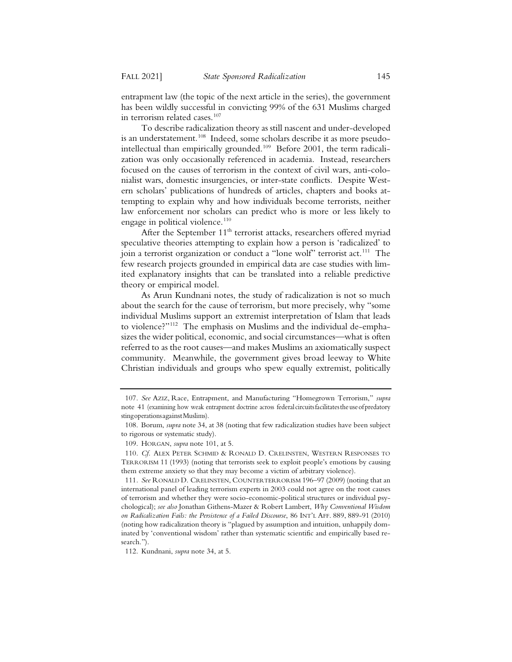entrapment law (the topic of the next article in the series), the government has been wildly successful in convicting 99% of the 631 Muslims charged in terrorism related cases.<sup>107</sup>

To describe radicalization theory as still nascent and under-developed is an understatement.<sup>108</sup> Indeed, some scholars describe it as more pseudointellectual than empirically grounded.<sup>109</sup> Before 2001, the term radicalization was only occasionally referenced in academia. Instead, researchers focused on the causes of terrorism in the context of civil wars, anti-colonialist wars, domestic insurgencies, or inter-state conflicts. Despite Western scholars' publications of hundreds of articles, chapters and books attempting to explain why and how individuals become terrorists, neither law enforcement nor scholars can predict who is more or less likely to engage in political violence.<sup>110</sup>

After the September  $11<sup>th</sup>$  terrorist attacks, researchers offered myriad speculative theories attempting to explain how a person is 'radicalized' to join a terrorist organization or conduct a "lone wolf" terrorist act.<sup>111</sup> The few research projects grounded in empirical data are case studies with limited explanatory insights that can be translated into a reliable predictive theory or empirical model.

As Arun Kundnani notes, the study of radicalization is not so much about the search for the cause of terrorism, but more precisely, why "some individual Muslims support an extremist interpretation of Islam that leads to violence?"112 The emphasis on Muslims and the individual de-emphasizes the wider political, economic, and social circumstances—what is often referred to as the root causes—and makes Muslims an axiomatically suspect community. Meanwhile, the government gives broad leeway to White Christian individuals and groups who spew equally extremist, politically

<sup>107.</sup> *See* AZIZ, Race, Entrapment, and Manufacturing "Homegrown Terrorism," *supra* note 41 (examining how weak entrapment doctrine across federal circuits facilitates the use of predatory stingoperationsagainstMuslims).

<sup>108.</sup> Borum, *supra* note 34, at 38 (noting that few radicalization studies have been subject to rigorous or systematic study).

<sup>109.</sup> HORGAN, *supra* note 101, at 5.

<sup>110</sup>*. Cf.* ALEX PETER SCHMID & RONALD D. CRELINSTEN, WESTERN RESPONSES TO TERRORISM 11 (1993) (noting that terrorists seek to exploit people's emotions by causing them extreme anxiety so that they may become a victim of arbitrary violence).

<sup>111</sup>*. See* RONALD D. CRELINSTEN, COUNTERTERRORISM 196–97 (2009) (noting that an international panel of leading terrorism experts in 2003 could not agree on the root causes of terrorism and whether they were socio-economic-political structures or individual psychological); *see also* Jonathan Githens-Mazer & Robert Lambert, *Why Conventional Wisdom on Radicalization Fails: the Persistence of a Failed Discourse*, 86 INT'L AFF. 889, 889-91 (2010) (noting how radicalization theory is "plagued by assumption and intuition, unhappily dominated by 'conventional wisdom' rather than systematic scientific and empirically based research.").

<sup>112.</sup> Kundnani, *supra* note 34, at 5.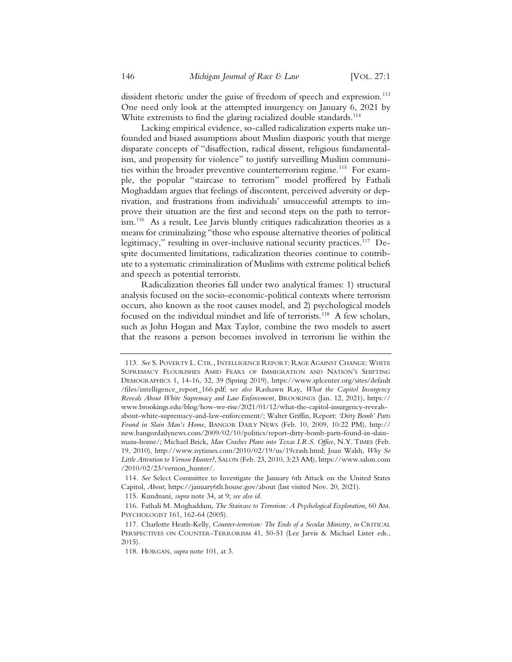dissident rhetoric under the guise of freedom of speech and expression.<sup>113</sup> One need only look at the attempted insurgency on January 6, 2021 by White extremists to find the glaring racialized double standards.<sup>114</sup>

Lacking empirical evidence, so-called radicalization experts make unfounded and biased assumptions about Muslim diasporic youth that merge disparate concepts of "disaffection, radical dissent, religious fundamentalism, and propensity for violence" to justify surveilling Muslim communities within the broader preventive counterterrorism regime.<sup>115</sup> For example, the popular "staircase to terrorism" model proffered by Fathali Moghaddam argues that feelings of discontent, perceived adversity or deprivation, and frustrations from individuals' unsuccessful attempts to improve their situation are the first and second steps on the path to terrorism.116 As a result, Lee Jarvis bluntly critiques radicalization theories as a means for criminalizing "those who espouse alternative theories of political legitimacy," resulting in over-inclusive national security practices.<sup>117</sup> Despite documented limitations, radicalization theories continue to contribute to a systematic criminalization of Muslims with extreme political beliefs and speech as potential terrorists.

Radicalization theories fall under two analytical frames: 1) structural analysis focused on the socio-economic-political contexts where terrorism occurs, also known as the root causes model, and 2) psychological models focused on the individual mindset and life of terrorists.118 A few scholars, such as John Hogan and Max Taylor, combine the two models to assert that the reasons a person becomes involved in terrorism lie within the

<sup>113</sup>*. See* S. POVERTY L. CTR., INTELLIGENCE REPORT: RAGE AGAINST CHANGE: WHITE SUPREMACY FLOURISHES AMID FEARS OF IMMIGRATION AND NATION'S SHIFTING DEMOGRAPHICS 1, 14-16, 32, 39 (Spring 2019), https://www.splcenter.org/sites/default /files/intelligence\_report\_166.pdf; s*ee also* Rashawn Ray, *What the Capitol Insurgency Reveals About White Supremacy and Law Enforcement,* BROOKINGS (Jan. 12, 2021), https:// www.brookings.edu/blog/how-we-rise/2021/01/12/what-the-capitol-insurgency-revealsabout-white-supremacy-and-law-enforcement/; Walter Griffin, Report: *'Dirty Bomb' Parts Found in Slain Man's Home*, BANGOR DAILY NEWS (Feb. 10, 2009, 10:22 PM), http:// new.bangordailynews.com/2009/02/10/politics/report-dirty-bomb-parts-found-in-slainmans-home/; Michael Brick, *Man Crashes Plane into Texas I.R.S. Office*, N.Y. TIMES (Feb. 19, 2010), http://www.nytimes.com/2010/02/19/us/19crash.html; Joan Walsh, *Why So Little Attention to Vernon Hunter?*, SALON (Feb. 23, 2010, 3:23 AM), https://www.salon.com /2010/02/23/vernon\_hunter/.

<sup>114</sup>*. See* Select Committee to Investigate the January 6th Attack on the United States Capitol, *About*, https://january6th.house.gov/about (last visited Nov. 20, 2021).

<sup>115.</sup> Kundnani, *supra* note 34, at 9; *see also id.*

<sup>116.</sup> Fathali M. Moghaddam, *The Staircase to Terrorism: A Psychological Exploration*, 60 AM. PSYCHOLOGIST 161, 162-64 (2005).

<sup>117.</sup> Charlotte Heath-Kelly, *Counter-terrorism: The Ends of a Secular Ministry*, *in* CRITICAL PERSPECTIVES ON COUNTER-TERRORISM 41, 50-51 (Lee Jarvis & Michael Lister eds., 2015).

<sup>118.</sup> HORGAN, *supra* note 101, at 3.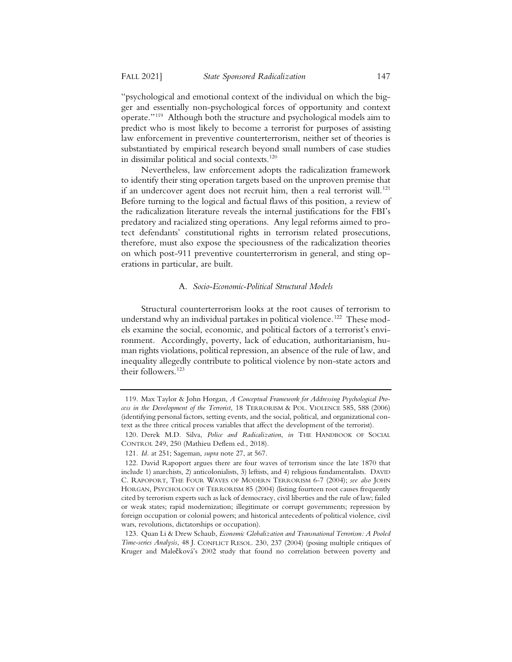"psychological and emotional context of the individual on which the bigger and essentially non-psychological forces of opportunity and context operate."119 Although both the structure and psychological models aim to predict who is most likely to become a terrorist for purposes of assisting law enforcement in preventive counterterrorism, neither set of theories is substantiated by empirical research beyond small numbers of case studies in dissimilar political and social contexts.<sup>120</sup>

Nevertheless, law enforcement adopts the radicalization framework to identify their sting operation targets based on the unproven premise that if an undercover agent does not recruit him, then a real terrorist will.<sup>121</sup> Before turning to the logical and factual flaws of this position, a review of the radicalization literature reveals the internal justifications for the FBI's predatory and racialized sting operations. Any legal reforms aimed to protect defendants' constitutional rights in terrorism related prosecutions, therefore, must also expose the speciousness of the radicalization theories on which post-911 preventive counterterrorism in general, and sting operations in particular, are built.

#### A. *Socio-Economic-Political Structural Models*

Structural counterterrorism looks at the root causes of terrorism to understand why an individual partakes in political violence.<sup>122</sup> These models examine the social, economic, and political factors of a terrorist's environment. Accordingly, poverty, lack of education, authoritarianism, human rights violations, political repression, an absence of the rule of law, and inequality allegedly contribute to political violence by non-state actors and their followers.123

<sup>119.</sup> Max Taylor & John Horgan, *A Conceptual Framework for Addressing Psychological Process in the Development of the Terrorist*, 18 TERRORISM & POL. VIOLENCE 585, 588 (2006) (identifying personal factors, setting events, and the social, political, and organizational context as the three critical process variables that affect the development of the terrorist).

<sup>120.</sup> Derek M.D. Silva, *Police and Radicalization*, *in* THE HANDBOOK OF SOCIAL CONTROL 249, 250 (Mathieu Deflem ed., 2018).

<sup>121</sup>*. Id.* at 251; Sageman, *supra* note 27, at 567.

<sup>122.</sup> David Rapoport argues there are four waves of terrorism since the late 1870 that include 1) anarchists, 2) anticolonialists, 3) leftists, and 4) religious fundamentalists. DAVID C. RAPOPORT, THE FOUR WAVES OF MODERN TERRORISM 6-7 (2004); *see also* JOHN HORGAN, PSYCHOLOGY OF TERRORISM 85 (2004) (listing fourteen root causes frequently cited by terrorism experts such as lack of democracy, civil liberties and the rule of law; failed or weak states; rapid modernization; illegitimate or corrupt governments; repression by foreign occupation or colonial powers; and historical antecedents of political violence, civil wars, revolutions, dictatorships or occupation).

<sup>123.</sup> Quan Li & Drew Schaub, *Economic Globalization and Transnational Terrorism: A Pooled Time-series Analysis*, 48 J. CONFLICT RESOL. 230, 237 (2004) (posing multiple critiques of Kruger and Malečková's 2002 study that found no correlation between poverty and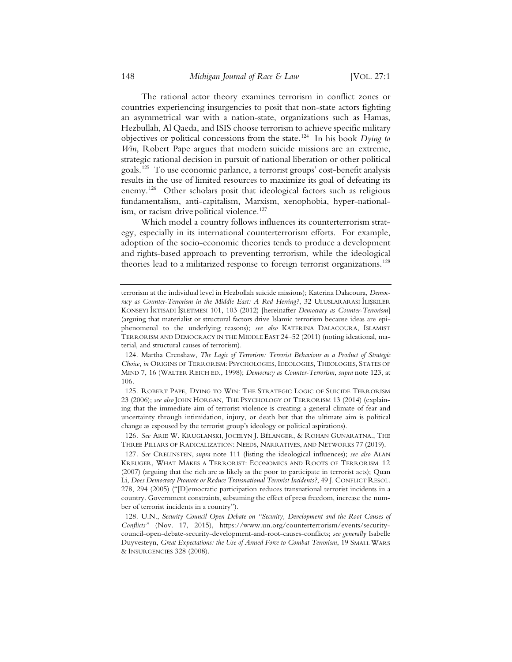The rational actor theory examines terrorism in conflict zones or countries experiencing insurgencies to posit that non-state actors fighting an asymmetrical war with a nation-state, organizations such as Hamas, Hezbullah, Al Qaeda, and ISIS choose terrorism to achieve specific military objectives or political concessions from the state.124 In his book *Dying to Win*, Robert Pape argues that modern suicide missions are an extreme, strategic rational decision in pursuit of national liberation or other political goals.125 To use economic parlance, a terrorist groups' cost-benefit analysis results in the use of limited resources to maximize its goal of defeating its enemy.126 Other scholars posit that ideological factors such as religious fundamentalism, anti-capitalism, Marxism, xenophobia, hyper-nationalism, or racism drive political violence.<sup>127</sup>

Which model a country follows influences its counterterrorism strategy, especially in its international counterterrorism efforts. For example, adoption of the socio-economic theories tends to produce a development and rights-based approach to preventing terrorism, while the ideological theories lead to a militarized response to foreign terrorist organizations.<sup>128</sup>

125. ROBERT PAPE, DYING TO WIN: THE STRATEGIC LOGIC OF SUICIDE TERRORISM 23 (2006); *see also* JOHN HORGAN, THE PSYCHOLOGY OF TERRORISM 13 (2014) (explaining that the immediate aim of terrorist violence is creating a general climate of fear and uncertainty through intimidation, injury, or death but that the ultimate aim is political change as espoused by the terrorist group's ideology or political aspirations).

126. See ARIE W. KRUGLANSKI, JOCELYN J. BÉLANGER, & ROHAN GUNARATNA., THE THREE PILLARS OF RADICALIZATION: NEEDS, NARRATIVES, AND NETWORKS 77 (2019).

127*. See* CRELINSTEN, *supra* note 111 (listing the ideological influences); *see also* ALAN KREUGER, WHAT MAKES A TERRORIST: ECONOMICS AND ROOTS OF TERRORISM 12 (2007) (arguing that the rich are as likely as the poor to participate in terrorist acts); Quan Li, *Does Democracy Promote or Reduce Transnational Terrorist Incidents?*, 49 J. CONFLICT RESOL. 278, 294 (2005) ("[D]emocratic participation reduces transnational terrorist incidents in a country. Government constraints, subsuming the effect of press freedom, increase the number of terrorist incidents in a country").

128. U.N., *Security Council Open Debate on "Security, Development and the Root Causes of Conflicts"* (Nov. 17, 2015), https://www.un.org/counterterrorism/events/securitycouncil-open-debate-security-development-and-root-causes-conflicts; *see generally* Isabelle Duyvesteyn, *Great Expectations: the Use of Armed Force to Combat Terrorism*, 19 SMALL WARS & INSURGENCIES 328 (2008).

terrorism at the individual level in Hezbollah suicide missions); Katerina Dalacoura, *Democ*racy as Counter-Terrorism in the Middle East: A Red Herring?, 32 ULUSLARARASI LUȘKILER KONSEYI IKTISADI IŞLETMESI 101, 103 (2012) [hereinafter *Democracy as Counter-Terrorism*] (arguing that materialist or structural factors drive Islamic terrorism because ideas are epiphenomenal to the underlying reasons); *see also* KATERINA DALACOURA, ISLAMIST TERRORISM AND DEMOCRACY IN THE MIDDLE EAST 24–52 (2011) (noting ideational, material, and structural causes of terrorism).

<sup>124.</sup> Martha Crenshaw, *The Logic of Terrorism: Terrorist Behaviour as a Product of Strategic Choice*, *in* ORIGINS OF TERRORISM: PSYCHOLOGIES, IDEOLOGIES, THEOLOGIES, STATES OF MIND 7, 16 (WALTER REICH ED., 1998); *Democracy as Counter-Terrorism*, *supra* note 123, at 106.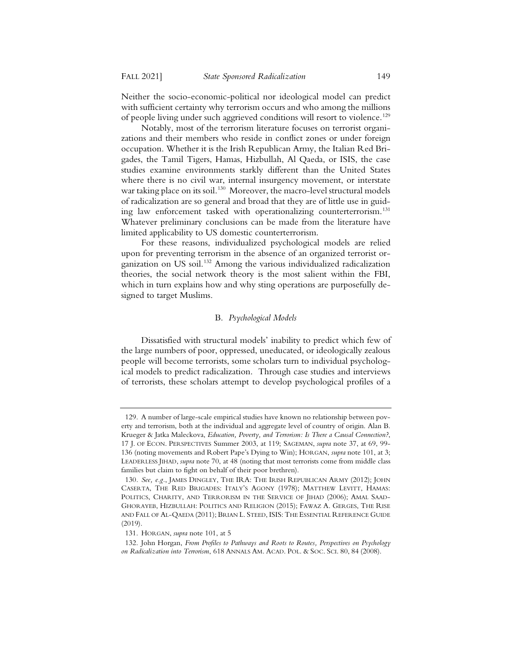Neither the socio-economic-political nor ideological model can predict with sufficient certainty why terrorism occurs and who among the millions of people living under such aggrieved conditions will resort to violence.<sup>129</sup>

Notably, most of the terrorism literature focuses on terrorist organizations and their members who reside in conflict zones or under foreign occupation. Whether it is the Irish Republican Army, the Italian Red Brigades, the Tamil Tigers, Hamas, Hizbullah, Al Qaeda, or ISIS, the case studies examine environments starkly different than the United States where there is no civil war, internal insurgency movement, or interstate war taking place on its soil.<sup>130</sup> Moreover, the macro-level structural models of radicalization are so general and broad that they are of little use in guiding law enforcement tasked with operationalizing counterterrorism.<sup>131</sup> Whatever preliminary conclusions can be made from the literature have limited applicability to US domestic counterterrorism.

For these reasons, individualized psychological models are relied upon for preventing terrorism in the absence of an organized terrorist organization on US soil.132 Among the various individualized radicalization theories, the social network theory is the most salient within the FBI, which in turn explains how and why sting operations are purposefully designed to target Muslims.

#### B. *Psychological Models*

Dissatisfied with structural models' inability to predict which few of the large numbers of poor, oppressed, uneducated, or ideologically zealous people will become terrorists, some scholars turn to individual psychological models to predict radicalization. Through case studies and interviews of terrorists, these scholars attempt to develop psychological profiles of a

<sup>129.</sup> A number of large-scale empirical studies have known no relationship between poverty and terrorism, both at the individual and aggregate level of country of origin. Alan B. Krueger & Jatka Maleckova, *Education, Poverty, and Terrorism: Is There a Causal Connection?*, 17 J. OF ECON. PERSPECTIVES Summer 2003, at 119; SAGEMAN, *supra* note 37, at 69, 99- 136 (noting movements and Robert Pape's Dying to Win); HORGAN, *supra* note 101, at 3; LEADERLESS JIHAD, *supra* note 70, at 48 (noting that most terrorists come from middle class families but claim to fight on behalf of their poor brethren).

<sup>130</sup>*. See, e.g.*, JAMES DINGLEY, THE IRA: THE IRISH REPUBLICAN ARMY (2012); JOHN CASERTA, THE RED BRIGADES: ITALY'S AGONY (1978); MATTHEW LEVITT, HAMAS: POLITICS, CHARITY, AND TERRORISM IN THE SERVICE OF JIHAD (2006); AMAL SAAD-GHORAYEB, HIZBULLAH: POLITICS AND RELIGION (2015); FAWAZ A. GERGES, THE RISE AND FALL OF AL-QAEDA (2011); BRIAN L. STEED, ISIS: THE ESSENTIAL REFERENCE GUIDE (2019).

<sup>131.</sup> HORGAN, *supra* note 101, at 5

<sup>132.</sup> John Horgan, *From Profiles to Pathways and Roots to Routes, Perspectives on Psychology on Radicalization into Terrorism*, 618 ANNALS AM. ACAD. POL.&SOC. SCI. 80, 84 (2008).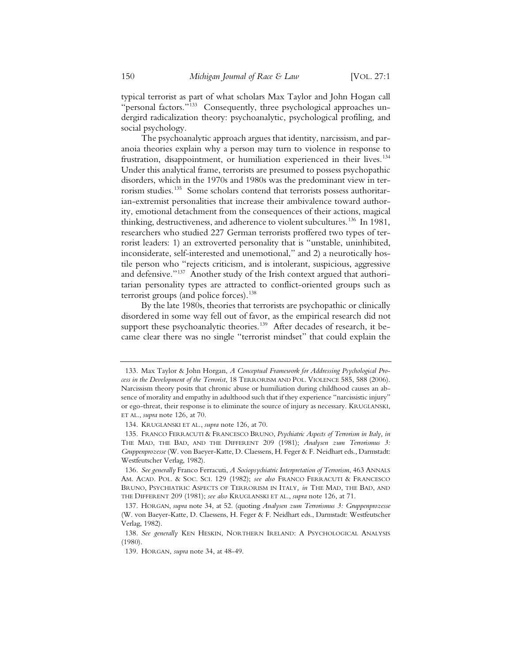typical terrorist as part of what scholars Max Taylor and John Hogan call "personal factors."133 Consequently, three psychological approaches undergird radicalization theory: psychoanalytic, psychological profiling, and social psychology.

The psychoanalytic approach argues that identity, narcissism, and paranoia theories explain why a person may turn to violence in response to frustration, disappointment, or humiliation experienced in their lives.<sup>134</sup> Under this analytical frame, terrorists are presumed to possess psychopathic disorders, which in the 1970s and 1980s was the predominant view in terrorism studies.135 Some scholars contend that terrorists possess authoritarian-extremist personalities that increase their ambivalence toward authority, emotional detachment from the consequences of their actions, magical thinking, destructiveness, and adherence to violent subcultures.136 In 1981, researchers who studied 227 German terrorists proffered two types of terrorist leaders: 1) an extroverted personality that is "unstable, uninhibited, inconsiderate, self-interested and unemotional," and 2) a neurotically hostile person who "rejects criticism, and is intolerant, suspicious, aggressive and defensive."<sup>137</sup> Another study of the Irish context argued that authoritarian personality types are attracted to conflict-oriented groups such as terrorist groups (and police forces).<sup>138</sup>

By the late 1980s, theories that terrorists are psychopathic or clinically disordered in some way fell out of favor, as the empirical research did not support these psychoanalytic theories.<sup>139</sup> After decades of research, it became clear there was no single "terrorist mindset" that could explain the

<sup>133.</sup> Max Taylor & John Horgan, *A Conceptual Framework for Addressing Psychological Process in the Development of the Terrorist*, 18 TERRORISM AND POL. VIOLENCE 585, 588 (2006). Narcissism theory posits that chronic abuse or humiliation during childhood causes an absence of morality and empathy in adulthood such that if they experience "narcissistic injury" or ego-threat, their response is to eliminate the source of injury as necessary. KRUGLANSKI, ET AL., *supra* note 126, at 70.

<sup>134.</sup> KRUGLANSKI ET AL., *supra* note 126, at 70.

<sup>135.</sup> FRANCO FERRACUTI & FRANCESCO BRUNO, *Psychiatric Aspects of Terrorism in Italy, in* THE MAD, THE BAD, AND THE DIFFERENT 209 (1981); *Analysen zum Terrorismus 3: Gruppenprozesse* (W. von Baeyer-Katte, D. Claessens, H. Feger & F. Neidhart eds., Darmstadt: Westfeutscher Verlag, 1982).

<sup>136</sup>*. See generally* Franco Ferracuti, *A Sociopsychiatric Interpretation of Terrorism*, 463 ANNALS AM. ACAD. POL.&SOC. SCI. 129 (1982); *see also* FRANCO FERRACUTI & FRANCESCO BRUNO, PSYCHIATRIC ASPECTS OF TERRORISM IN ITALY*, in* THE MAD, THE BAD, AND THE DIFFERENT 209 (1981); *see also* KRUGLANSKI ET AL., *supra* note 126, at 71.

<sup>137.</sup> HORGAN, *supra* note 34, at 52. (quoting *Analysen zum Terrorismus 3: Gruppenprozesse* (W. von Baeyer-Katte, D. Claessens, H. Feger & F. Neidhart eds., Darmstadt: Westfeutscher Verlag, 1982).

<sup>138</sup>*. See generally KEN HESKIN, NORTHERN IRELAND: A PSYCHOLOGICAL ANALYSIS* (1980).

<sup>139.</sup> HORGAN, *supra* note 34, at 48-49.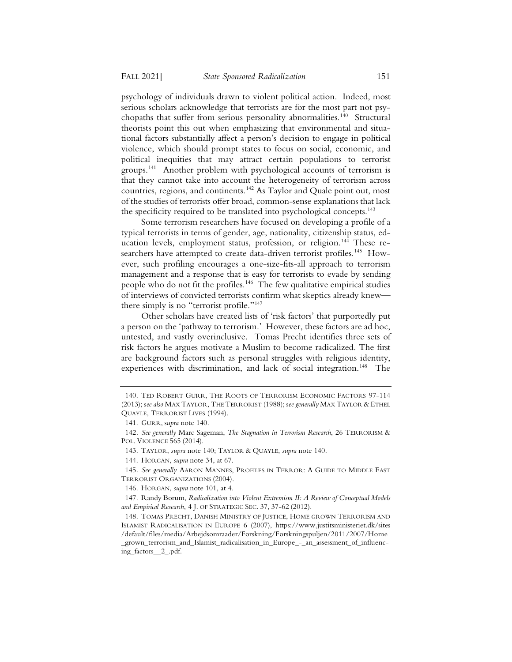psychology of individuals drawn to violent political action. Indeed, most serious scholars acknowledge that terrorists are for the most part not psychopaths that suffer from serious personality abnormalities.<sup>140</sup> Structural theorists point this out when emphasizing that environmental and situational factors substantially affect a person's decision to engage in political violence, which should prompt states to focus on social, economic, and political inequities that may attract certain populations to terrorist groups.141 Another problem with psychological accounts of terrorism is that they cannot take into account the heterogeneity of terrorism across countries, regions, and continents.142 As Taylor and Quale point out, most of the studies of terrorists offer broad, common-sense explanations that lack the specificity required to be translated into psychological concepts.<sup>143</sup>

Some terrorism researchers have focused on developing a profile of a typical terrorists in terms of gender, age, nationality, citizenship status, education levels, employment status, profession, or religion.<sup>144</sup> These researchers have attempted to create data-driven terrorist profiles.<sup>145</sup> However, such profiling encourages a one-size-fits-all approach to terrorism management and a response that is easy for terrorists to evade by sending people who do not fit the profiles.<sup>146</sup> The few qualitative empirical studies of interviews of convicted terrorists confirm what skeptics already knew there simply is no "terrorist profile."<sup>147</sup>

Other scholars have created lists of 'risk factors' that purportedly put a person on the 'pathway to terrorism.' However, these factors are ad hoc, untested, and vastly overinclusive. Tomas Precht identifies three sets of risk factors he argues motivate a Muslim to become radicalized. The first are background factors such as personal struggles with religious identity, experiences with discrimination, and lack of social integration.<sup>148</sup> The

<sup>140.</sup> TED ROBERT GURR, THE ROOTS OF TERRORISM ECONOMIC FACTORS 97-114 (2013); s*ee also* MAX TAYLOR, THE TERRORIST (1988); s*ee generally* MAX TAYLOR & ETHEL QUAYLE, TERRORIST LIVES (1994).

<sup>141.</sup> GURR, s*upra* note 140.

<sup>142</sup>*. See generally* Marc Sageman, *The Stagnation in Terrorism Research*, 26 TERRORISM & POL. VIOLENCE 565 (2014).

<sup>143.</sup> TAYLOR, *supra* note 140; TAYLOR & QUAYLE, *supra* note 140.

<sup>144.</sup> HORGAN, *supra* note 34, at 67.

<sup>145</sup>*. See generally* AARON MANNES, PROFILES IN TERROR:AGUIDE TO MIDDLE EAST TERRORIST ORGANIZATIONS (2004).

<sup>146.</sup> HORGAN, *supra* note 101, at 4.

<sup>147.</sup> Randy Borum, *Radicalization into Violent Extremism II: A Review of Conceptual Models and Empirical Research*, 4 J. OF STRATEGIC SEC. 37, 37-62 (2012).

<sup>148.</sup> TOMAS PRECHT, DANISH MINISTRY OF JUSTICE, HOME GROWN TERRORISM AND ISLAMIST RADICALISATION IN EUROPE 6 (2007), https://www.justitsministeriet.dk/sites /default/files/media/Arbejdsomraader/Forskning/Forskningspuljen/2011/2007/Home \_grown\_terrorism\_and\_Islamist\_radicalisation\_in\_Europe\_-\_an\_assessment\_of\_influencing\_factors\_\_2\_.pdf.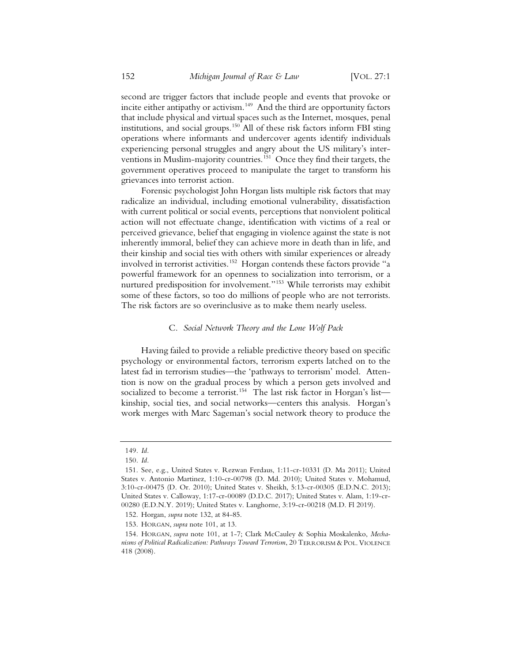second are trigger factors that include people and events that provoke or incite either antipathy or activism.<sup>149</sup> And the third are opportunity factors that include physical and virtual spaces such as the Internet, mosques, penal institutions, and social groups.150 All of these risk factors inform FBI sting operations where informants and undercover agents identify individuals experiencing personal struggles and angry about the US military's interventions in Muslim-majority countries.<sup>151</sup> Once they find their targets, the government operatives proceed to manipulate the target to transform his grievances into terrorist action.

Forensic psychologist John Horgan lists multiple risk factors that may radicalize an individual, including emotional vulnerability, dissatisfaction with current political or social events, perceptions that nonviolent political action will not effectuate change, identification with victims of a real or perceived grievance, belief that engaging in violence against the state is not inherently immoral, belief they can achieve more in death than in life, and their kinship and social ties with others with similar experiences or already involved in terrorist activities.152 Horgan contends these factors provide "a powerful framework for an openness to socialization into terrorism, or a nurtured predisposition for involvement."153 While terrorists may exhibit some of these factors, so too do millions of people who are not terrorists. The risk factors are so overinclusive as to make them nearly useless.

#### C. *Social Network Theory and the Lone Wolf Pack*

Having failed to provide a reliable predictive theory based on specific psychology or environmental factors, terrorism experts latched on to the latest fad in terrorism studies—the 'pathways to terrorism' model. Attention is now on the gradual process by which a person gets involved and socialized to become a terrorist.<sup>154</sup> The last risk factor in Horgan's list kinship, social ties, and social networks—centers this analysis. Horgan's work merges with Marc Sageman's social network theory to produce the

<sup>149</sup>*. Id.*

<sup>150</sup>*. Id.*

<sup>151.</sup> See, e.g., United States v. Rezwan Ferdaus, 1:11-cr-10331 (D. Ma 2011); United States v. Antonio Martinez, 1:10-cr-00798 (D. Md. 2010); United States v. Mohamud, 3:10-cr-00475 (D. Or. 2010); United States v. Sheikh, 5:13-cr-00305 (E.D.N.C. 2013); United States v. Calloway, 1:17-cr-00089 (D.D.C. 2017); United States v. Alam, 1:19-cr-00280 (E.D.N.Y. 2019); United States v. Langhorne, 3:19-cr-00218 (M.D. Fl 2019).

<sup>152.</sup> Horgan, *supra* note 132, at 84-85.

<sup>153.</sup> HORGAN, *supra* note 101, at 13.

<sup>154.</sup> HORGAN, *supra* note 101, at 1-7; Clark McCauley & Sophia Moskalenko, *Mechanisms of Political Radicalization: Pathways Toward Terrorism*, 20 TERRORISM & POL. VIOLENCE 418 (2008).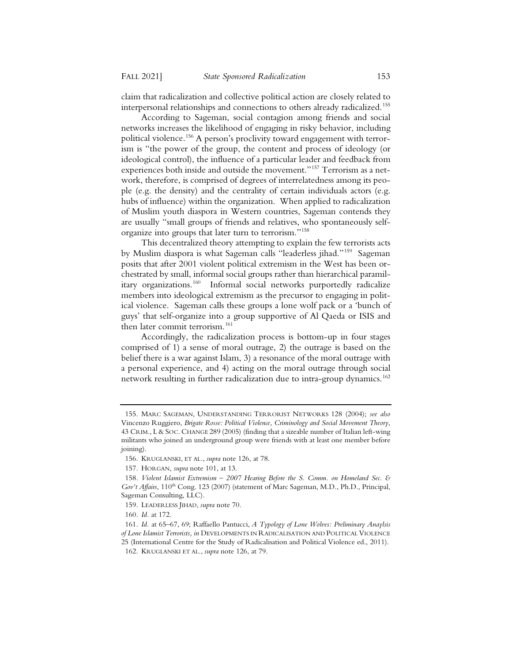claim that radicalization and collective political action are closely related to interpersonal relationships and connections to others already radicalized.155

According to Sageman, social contagion among friends and social networks increases the likelihood of engaging in risky behavior, including political violence.<sup>156</sup> A person's proclivity toward engagement with terrorism is "the power of the group, the content and process of ideology (or ideological control), the influence of a particular leader and feedback from experiences both inside and outside the movement."157 Terrorism as a network, therefore, is comprised of degrees of interrelatedness among its people (e.g. the density) and the centrality of certain individuals actors (e.g. hubs of influence) within the organization. When applied to radicalization of Muslim youth diaspora in Western countries, Sageman contends they are usually "small groups of friends and relatives, who spontaneously selforganize into groups that later turn to terrorism."158

This decentralized theory attempting to explain the few terrorists acts by Muslim diaspora is what Sageman calls "leaderless jihad."159 Sageman posits that after 2001 violent political extremism in the West has been orchestrated by small, informal social groups rather than hierarchical paramilitary organizations.<sup>160</sup> Informal social networks purportedly radicalize members into ideological extremism as the precursor to engaging in political violence. Sageman calls these groups a lone wolf pack or a 'bunch of guys' that self-organize into a group supportive of Al Qaeda or ISIS and then later commit terrorism.<sup>161</sup>

Accordingly, the radicalization process is bottom-up in four stages comprised of 1) a sense of moral outrage, 2) the outrage is based on the belief there is a war against Islam, 3) a resonance of the moral outrage with a personal experience, and 4) acting on the moral outrage through social network resulting in further radicalization due to intra-group dynamics.<sup>162</sup>

<sup>155.</sup> MARC SAGEMAN, UNDERSTANDING TERRORIST NETWORKS 128 (2004); *see also* Vincenzo Ruggiero, *Brigate Rosse: Political Violence, Criminology and Social Movement Theory*, 43 CRIM., L & SOC. CHANGE 289 (2005) (finding that a sizeable number of Italian left-wing militants who joined an underground group were friends with at least one member before joining).

<sup>156.</sup> KRUGLANSKI, ET AL., *supra* note 126, at 78.

<sup>157.</sup> HORGAN, *supra* note 101, at 13.

<sup>158</sup>*. Violent Islamist Extremism – 2007 Hearing Before the S. Comm. on Homeland Sec. &*  Gov't Affairs, 110<sup>th</sup> Cong. 123 (2007) (statement of Marc Sageman, M.D., Ph.D., Principal, Sageman Consulting, LLC).

<sup>159.</sup> LEADERLESS JIHAD, *supra* note 70.

<sup>160</sup>*. Id.* at 172.

<sup>161</sup>*. Id.* at 65–67, 69; Raffaello Pantucci, *A Typology of Lone Wolves: Preliminary Anaylsis of Lone Islamist Terrorists, in* DEVELOPMENTS IN RADICALISATION AND POLITICAL VIOLENCE 25 (International Centre for the Study of Radicalisation and Political Violence ed., 2011).

<sup>162.</sup> KRUGLANSKI ET AL., *supra* note 126, at 79.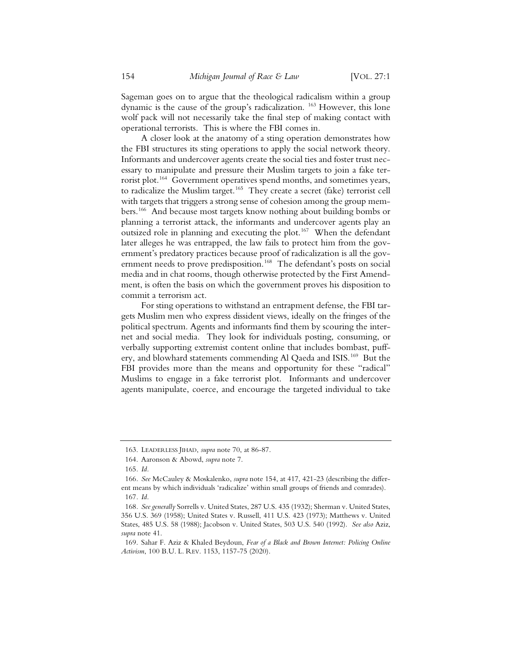Sageman goes on to argue that the theological radicalism within a group dynamic is the cause of the group's radicalization. 163 However, this lone wolf pack will not necessarily take the final step of making contact with operational terrorists. This is where the FBI comes in.

A closer look at the anatomy of a sting operation demonstrates how the FBI structures its sting operations to apply the social network theory. Informants and undercover agents create the social ties and foster trust necessary to manipulate and pressure their Muslim targets to join a fake terrorist plot.<sup>164</sup> Government operatives spend months, and sometimes years, to radicalize the Muslim target.<sup>165</sup> They create a secret (fake) terrorist cell with targets that triggers a strong sense of cohesion among the group members.166 And because most targets know nothing about building bombs or planning a terrorist attack, the informants and undercover agents play an outsized role in planning and executing the plot.<sup>167</sup> When the defendant later alleges he was entrapped, the law fails to protect him from the government's predatory practices because proof of radicalization is all the government needs to prove predisposition.<sup>168</sup> The defendant's posts on social media and in chat rooms, though otherwise protected by the First Amendment, is often the basis on which the government proves his disposition to commit a terrorism act.

For sting operations to withstand an entrapment defense, the FBI targets Muslim men who express dissident views, ideally on the fringes of the political spectrum. Agents and informants find them by scouring the internet and social media. They look for individuals posting, consuming, or verbally supporting extremist content online that includes bombast, puffery, and blowhard statements commending Al Qaeda and ISIS.<sup>169</sup> But the FBI provides more than the means and opportunity for these "radical" Muslims to engage in a fake terrorist plot. Informants and undercover agents manipulate, coerce, and encourage the targeted individual to take

<sup>163.</sup> LEADERLESS JIHAD, *supra* note 70, at 86-87.

<sup>164.</sup> Aaronson & Abowd, *supra* note 7.

<sup>165</sup>*. Id.*

<sup>166</sup>*. See* McCauley & Moskalenko, *supra* note 154, at 417, 421-23 (describing the different means by which individuals 'radicalize' within small groups of friends and comrades).

<sup>167</sup>*. Id.*

<sup>168</sup>*. See generally* Sorrells v. United States, 287 U.S. 435 (1932); Sherman v. United States, 356 U.S. 369 (1958); United States v. Russell, 411 U.S. 423 (1973); Matthews v. United States, 485 U.S. 58 (1988); Jacobson v. United States, 503 U.S. 540 (1992). *See also* Aziz, *supra* note 41.

<sup>169.</sup> Sahar F. Aziz & Khaled Beydoun, *Fear of a Black and Brown Internet: Policing Online Activism*, 100 B.U. L. REV. 1153, 1157-75 (2020).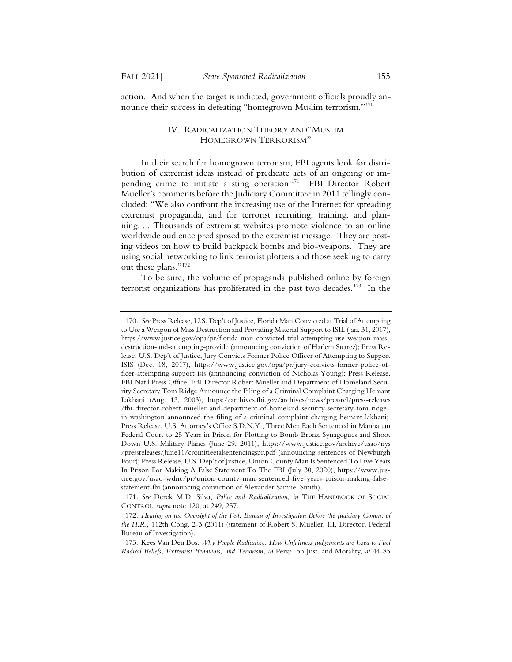action. And when the target is indicted, government officials proudly announce their success in defeating "homegrown Muslim terrorism."<sup>170</sup>

### IV. RADICALIZATION THEORY AND "MUSLIM HOMEGROWN TERRORISM"

In their search for homegrown terrorism, FBI agents look for distribution of extremist ideas instead of predicate acts of an ongoing or impending crime to initiate a sting operation.<sup>171</sup> FBI Director Robert Mueller's comments before the Judiciary Committee in 2011 tellingly concluded: "We also confront the increasing use of the Internet for spreading extremist propaganda, and for terrorist recruiting, training, and planning. . . Thousands of extremist websites promote violence to an online worldwide audience predisposed to the extremist message. They are posting videos on how to build backpack bombs and bio-weapons. They are using social networking to link terrorist plotters and those seeking to carry out these plans."172

To be sure, the volume of propaganda published online by foreign terrorist organizations has proliferated in the past two decades.<sup>173</sup> In the

<sup>170</sup>*. See* Press Release, U.S. Dep't of Justice, Florida Man Convicted at Trial of Attempting to Use a Weapon of Mass Destruction and Providing Material Support to ISIL (Jan. 31, 2017), https://www.justice.gov/opa/pr/florida-man-convicted-trial-attempting-use-weapon-massdestruction-and-attempting-provide (announcing conviction of Harlem Suarez); Press Release, U.S. Dep't of Justice, Jury Convicts Former Police Officer of Attempting to Support ISIS (Dec. 18, 2017), https://www.justice.gov/opa/pr/jury-convicts-former-police-officer-attempting-support-isis (announcing conviction of Nicholas Young); Press Release, FBI Nat'l Press Office, FBI Director Robert Mueller and Department of Homeland Security Secretary Tom Ridge Announce the Filing of a Criminal Complaint Charging Hemant Lakhani (Aug. 13, 2003), https://archives.fbi.gov/archives/news/pressrel/press-releases /fbi-director-robert-mueller-and-department-of-homeland-security-secretary-tom-ridgein-washington-announced-the-filing-of-a-criminal-complaint-charging-hemant-lakhani; Press Release, U.S. Attorney's Office S.D.N.Y., Three Men Each Sentenced in Manhattan Federal Court to 25 Years in Prison for Plotting to Bomb Bronx Synagogues and Shoot Down U.S. Military Planes (June 29, 2011), https://www.justice.gov/archive/usao/nys /pressreleases/June11/cromitieetalsentencingspr.pdf (announcing sentences of Newburgh Four); Press Release, U.S. Dep't of Justice, Union County Man Is Sentenced To Five Years In Prison For Making A False Statement To The FBI (July 30, 2020), https://www.justice.gov/usao-wdnc/pr/union-county-man-sentenced-five-years-prison-making-falsestatement-fbi (announcing conviction of Alexander Samuel Smith).

<sup>171</sup>*. See* Derek M.D. Silva, *Police and Radicalization*, *in* THE HANDBOOK OF SOCIAL CONTROL, *supra* note 120, at 249, 257.

<sup>172</sup>*. Hearing on the Oversight of the Fed. Bureau of Investigation Before the Judiciary Comm. of the H.R.*, 112th Cong. 2-3 (2011) (statement of Robert S. Mueller, III, Director, Federal Bureau of Investigation).

<sup>173.</sup> Kees Van Den Bos, *Why People Radicalize: How Unfairness Judgements are Used to Fuel Radical Beliefs, Extremist Behaviors, and Terrorism, in* Persp. on Just. and Morality, *at* 44-85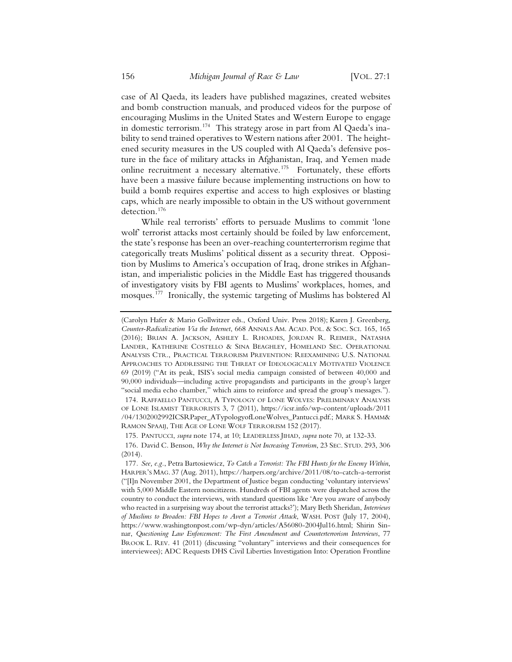case of Al Qaeda, its leaders have published magazines, created websites and bomb construction manuals, and produced videos for the purpose of encouraging Muslims in the United States and Western Europe to engage in domestic terrorism.174 This strategy arose in part from Al Qaeda's inability to send trained operatives to Western nations after 2001. The heightened security measures in the US coupled with Al Qaeda's defensive posture in the face of military attacks in Afghanistan, Iraq, and Yemen made online recruitment a necessary alternative.<sup>175</sup> Fortunately, these efforts have been a massive failure because implementing instructions on how to build a bomb requires expertise and access to high explosives or blasting caps, which are nearly impossible to obtain in the US without government detection.176

While real terrorists' efforts to persuade Muslims to commit 'lone wolf' terrorist attacks most certainly should be foiled by law enforcement, the state's response has been an over-reaching counterterrorism regime that categorically treats Muslims' political dissent as a security threat. Opposition by Muslims to America's occupation of Iraq, drone strikes in Afghanistan, and imperialistic policies in the Middle East has triggered thousands of investigatory visits by FBI agents to Muslims' workplaces, homes, and mosques.177 Ironically, the systemic targeting of Muslims has bolstered Al

<sup>(</sup>Carolyn Hafer & Mario Gollwitzer eds., Oxford Univ. Press 2018); Karen J. Greenberg, *Counter-Radicalization Via the Internet*, 668 ANNALS AM. ACAD. POL.&SOC. SCI. 165, 165 (2016); BRIAN A. JACKSON, ASHLEY L. RHOADES, JORDAN R. REIMER, NATASHA LANDER, KATHERINE COSTELLO & SINA BEAGHLEY, HOMELAND SEC. OPERATIONAL ANALYSIS CTR., PRACTICAL TERRORISM PREVENTION: REEXAMINING U.S. NATIONAL APPROACHES TO ADDRESSING THE THREAT OF IDEOLOGICALLY MOTIVATED VIOLENCE 69 (2019) ("At its peak, ISIS's social media campaign consisted of between 40,000 and 90,000 individuals—including active propagandists and participants in the group's larger "social media echo chamber," which aims to reinforce and spread the group's messages.").

<sup>174.</sup> RAFFAELLO PANTUCCI,ATYPOLOGY OF LONE WOLVES: PRELIMINARY ANALYSIS OF LONE ISLAMIST TERRORISTS 3, 7 (2011), https://icsr.info/wp-content/uploads/2011 /04/1302002992ICSRPaper\_ATypologyofLoneWolves\_Pantucci.pdf.; MARK S. HAMM& RAMON SPAAIJ, THE AGE OF LONE WOLF TERRORISM 152 (2017).

<sup>175.</sup> PANTUCCI, *supra* note 174, at 10; LEADERLESS JIHAD, *supra* note 70, at 132-33.

<sup>176.</sup> David C. Benson, *Why the Internet is Not Increasing Terrorism*, 23 SEC. STUD. 293, 306 (2014).

<sup>177</sup>*. See, e.g.*, Petra Bartosiewicz, *To Catch a Terrorist: The FBI Hunts for the Enemy Within*, HARPER'S MAG. 37 (Aug. 2011), https://harpers.org/archive/2011/08/to-catch-a-terrorist ("[I]n November 2001, the Department of Justice began conducting 'voluntary interviews' with 5,000 Middle Eastern noncitizens. Hundreds of FBI agents were dispatched across the country to conduct the interviews, with standard questions like 'Are you aware of anybody who reacted in a surprising way about the terrorist attacks?'); Mary Beth Sheridan, *Interviews of Muslims to Broaden: FBI Hopes to Avert a Terrorist Attack*, WASH. POST (July 17, 2004), https://www.washingtonpost.com/wp-dyn/articles/A56080-2004Jul16.html; Shirin Sinnar, *Questioning Law Enforcement: The First Amendment and Counterterrorism Interviews*, 77 BROOK L. REV. 41 (2011) (discussing "voluntary" interviews and their consequences for interviewees); ADC Requests DHS Civil Liberties Investigation Into: Operation Frontline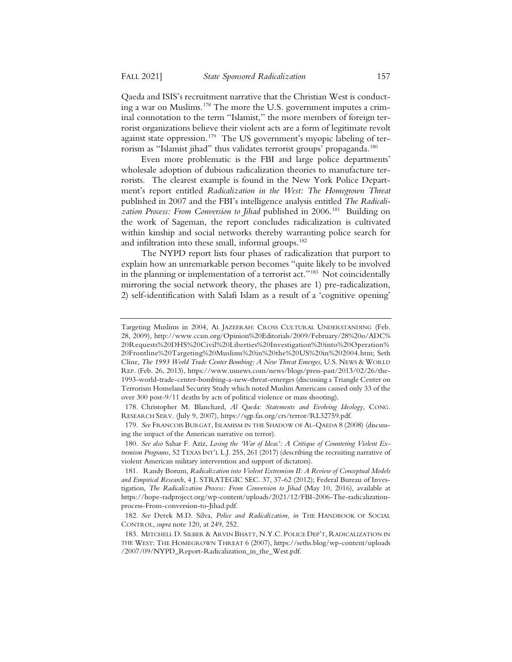Qaeda and ISIS's recruitment narrative that the Christian West is conducting a war on Muslims.<sup>178</sup> The more the U.S. government imputes a criminal connotation to the term "Islamist," the more members of foreign terrorist organizations believe their violent acts are a form of legitimate revolt against state oppression.<sup>179</sup> The US government's myopic labeling of terrorism as "Islamist jihad" thus validates terrorist groups' propaganda.<sup>180</sup>

Even more problematic is the FBI and large police departments' wholesale adoption of dubious radicalization theories to manufacture terrorists. The clearest example is found in the New York Police Department's report entitled *Radicalization in the West: The Homegrown Threat* published in 2007 and the FBI's intelligence analysis entitled *The Radicali*zation Process: From Conversion to Jihad published in 2006.<sup>181</sup> Building on the work of Sageman, the report concludes radicalization is cultivated within kinship and social networks thereby warranting police search for and infiltration into these small, informal groups.<sup>182</sup>

The NYPD report lists four phases of radicalization that purport to explain how an unremarkable person becomes "quite likely to be involved in the planning or implementation of a terrorist act."183 Not coincidentally mirroring the social network theory, the phases are 1) pre-radicalization, 2) self-identification with Salafi Islam as a result of a 'cognitive opening'

179*. See* FRANCOIS BURGAT, ISLAMISM IN THE SHADOW OF AL-QAEDA 8 (2008) (discussing the impact of the American narrative on terror).

180*. See also* Sahar F. Aziz, *Losing the 'War of Ideas': A Critique of Countering Violent Extremism Programs*, 52 TEXAS INT'L L.J. 255, 261 (2017) (describing the recruiting narrative of violent American military intervention and support of dictators).

Targeting Muslims in 2004, AL JAZEERAH: CROSS CULTURAL UNDERSTANDING (Feb. 28, 2009), http://www.ccun.org/Opinion%20Editorials/2009/February/28%20o/ADC% 20Requests%20DHS%20Civil%20Liberties%20Investigation%20into%20Operation% 20Frontline%20Targeting%20Muslims%20in%20the%20US%20in%202004.htm; Seth Cline, *The 1993 World Trade Center Bombing: A New Threat Emerges*, U.S. NEWS & WORLD REP. (Feb. 26, 2013), https://www.usnews.com/news/blogs/press-past/2013/02/26/the-1993-world-trade-center-bombing-a-new-threat-emerges (discussing a Triangle Center on Terrorism Homeland Security Study which noted Muslim Americans caused only 33 of the over 300 post-9/11 deaths by acts of political violence or mass shooting).

<sup>178.</sup> Christopher M. Blanchard, *Al Qaeda: Statements and Evolving Ideology*, CONG. RESEARCH SERV. (July 9, 2007), https://sgp.fas.org/crs/terror/RL32759.pdf.

<sup>181.</sup> Randy Borum, *Radicalization into Violent Extremism II: A Review of Conceptual Models and Empirical Research*, 4 J. STRATEGIC SEC. 37, 37-62 (2012); Federal Bureau of Investigation, *The Radicalization Process: From Conversion to Jihad* (May 10, 2016), available at https://hope-radproject.org/wp-content/uploads/2021/12/FBI-2006-The-radicalizationprocess-From-conversion-to-Jihad.pdf.

<sup>182</sup>*. See* Derek M.D. Silva, *Police and Radicalization*, *in* THE HANDBOOK OF SOCIAL CONTROL, *supra* note 120, at 249, 252.

<sup>183.</sup> MITCHELL D. SILBER & ARVIN BHATT, N.Y.C. POLICE DEP'T, RADICALIZATION IN THE WEST: THE HOMEGROWN THREAT 6 (2007), https://seths.blog/wp-content/uploads /2007/09/NYPD\_Report-Radicalization\_in\_the\_West.pdf.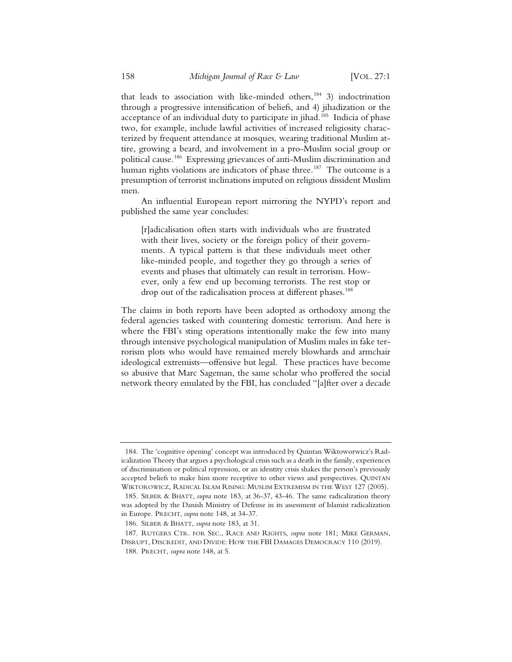that leads to association with like-minded others,<sup>184</sup> 3) indoctrination through a progressive intensification of beliefs, and 4) jihadization or the acceptance of an individual duty to participate in jihad.<sup>185</sup> Indicia of phase two, for example, include lawful activities of increased religiosity characterized by frequent attendance at mosques, wearing traditional Muslim attire, growing a beard, and involvement in a pro-Muslim social group or political cause.186 Expressing grievances of anti-Muslim discrimination and human rights violations are indicators of phase three.<sup>187</sup> The outcome is a presumption of terrorist inclinations imputed on religious dissident Muslim men.

An influential European report mirroring the NYPD's report and published the same year concludes:

[r]adicalisation often starts with individuals who are frustrated with their lives, society or the foreign policy of their governments. A typical pattern is that these individuals meet other like-minded people, and together they go through a series of events and phases that ultimately can result in terrorism. However, only a few end up becoming terrorists. The rest stop or drop out of the radicalisation process at different phases.<sup>188</sup>

The claims in both reports have been adopted as orthodoxy among the federal agencies tasked with countering domestic terrorism. And here is where the FBI's sting operations intentionally make the few into many through intensive psychological manipulation of Muslim males in fake terrorism plots who would have remained merely blowhards and armchair ideological extremists—offensive but legal. These practices have become so abusive that Marc Sageman, the same scholar who proffered the social network theory emulated by the FBI, has concluded "[a]fter over a decade

<sup>184.</sup> The 'cognitive opening' concept was introduced by Quintan Wiktoworwicz's Radicalization Theory that argues a psychological crisis such as a death in the family, experiences of discrimination or political repression, or an identity crisis shakes the person's previously accepted beliefs to make him more receptive to other views and perspectives. QUINTAN WIKTOROWICZ, RADICAL ISLAM RISING: MUSLIM EXTREMISM IN THE WEST 127 (2005).

<sup>185.</sup> SILBER & BHATT, *supra* note 183, at 36-37, 43-46. The same radicalization theory was adopted by the Danish Ministry of Defense in its assessment of Islamist radicalization in Europe. PRECHT, *supra* note 148, at 34-37.

<sup>186.</sup> SILBER & BHATT, *supra* note 183, at 31.

<sup>187.</sup> RUTGERS CTR. FOR SEC., RACE AND RIGHTS, *supra* note 181; MIKE GERMAN, DISRUPT, DISCREDIT, AND DIVIDE: HOW THE FBI DAMAGES DEMOCRACY 110 (2019).

<sup>188.</sup> PRECHT, *supra* note 148, at 5.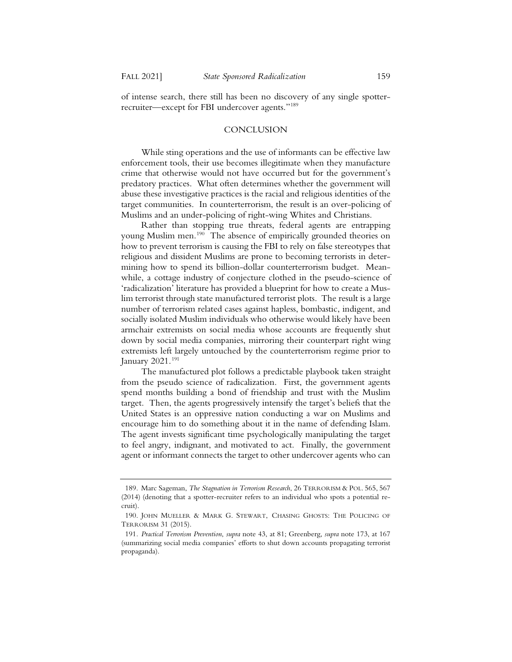of intense search, there still has been no discovery of any single spotterrecruiter—except for FBI undercover agents."189

#### **CONCLUSION**

While sting operations and the use of informants can be effective law enforcement tools, their use becomes illegitimate when they manufacture crime that otherwise would not have occurred but for the government's predatory practices. What often determines whether the government will abuse these investigative practices is the racial and religious identities of the target communities. In counterterrorism, the result is an over-policing of Muslims and an under-policing of right-wing Whites and Christians.

Rather than stopping true threats, federal agents are entrapping young Muslim men.<sup>190</sup> The absence of empirically grounded theories on how to prevent terrorism is causing the FBI to rely on false stereotypes that religious and dissident Muslims are prone to becoming terrorists in determining how to spend its billion-dollar counterterrorism budget. Meanwhile, a cottage industry of conjecture clothed in the pseudo-science of 'radicalization' literature has provided a blueprint for how to create a Muslim terrorist through state manufactured terrorist plots. The result is a large number of terrorism related cases against hapless, bombastic, indigent, and socially isolated Muslim individuals who otherwise would likely have been armchair extremists on social media whose accounts are frequently shut down by social media companies, mirroring their counterpart right wing extremists left largely untouched by the counterterrorism regime prior to January 2021.191

The manufactured plot follows a predictable playbook taken straight from the pseudo science of radicalization. First, the government agents spend months building a bond of friendship and trust with the Muslim target. Then, the agents progressively intensify the target's beliefs that the United States is an oppressive nation conducting a war on Muslims and encourage him to do something about it in the name of defending Islam. The agent invests significant time psychologically manipulating the target to feel angry, indignant, and motivated to act. Finally, the government agent or informant connects the target to other undercover agents who can

<sup>189.</sup> Marc Sageman, *The Stagnation in Terrorism Research*, 26 TERRORISM & POL. 565, 567 (2014) (denoting that a spotter-recruiter refers to an individual who spots a potential recruit).

<sup>190.</sup> JOHN MUELLER & MARK G. STEWART, CHASING GHOSTS: THE POLICING OF TERRORISM 31 (2015).

<sup>191</sup>*. Practical Terrorism Prevention*, *supra* note 43, at 81; Greenberg, *supra* note 173, at 167 (summarizing social media companies' efforts to shut down accounts propagating terrorist propaganda).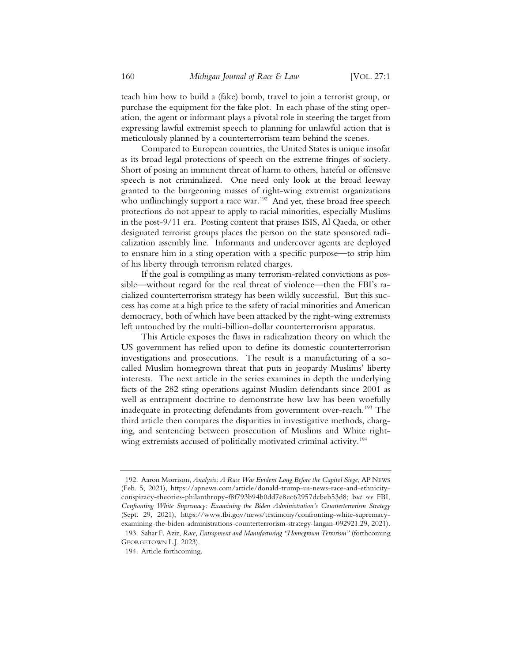teach him how to build a (fake) bomb, travel to join a terrorist group, or purchase the equipment for the fake plot. In each phase of the sting operation, the agent or informant plays a pivotal role in steering the target from expressing lawful extremist speech to planning for unlawful action that is meticulously planned by a counterterrorism team behind the scenes.

Compared to European countries, the United States is unique insofar as its broad legal protections of speech on the extreme fringes of society. Short of posing an imminent threat of harm to others, hateful or offensive speech is not criminalized. One need only look at the broad leeway granted to the burgeoning masses of right-wing extremist organizations who unflinchingly support a race war.<sup>192</sup> And yet, these broad free speech protections do not appear to apply to racial minorities, especially Muslims in the post-9/11 era. Posting content that praises ISIS, Al Qaeda, or other designated terrorist groups places the person on the state sponsored radicalization assembly line. Informants and undercover agents are deployed to ensnare him in a sting operation with a specific purpose—to strip him of his liberty through terrorism related charges.

If the goal is compiling as many terrorism-related convictions as possible—without regard for the real threat of violence—then the FBI's racialized counterterrorism strategy has been wildly successful. But this success has come at a high price to the safety of racial minorities and American democracy, both of which have been attacked by the right-wing extremists left untouched by the multi-billion-dollar counterterrorism apparatus.

This Article exposes the flaws in radicalization theory on which the US government has relied upon to define its domestic counterterrorism investigations and prosecutions. The result is a manufacturing of a socalled Muslim homegrown threat that puts in jeopardy Muslims' liberty interests. The next article in the series examines in depth the underlying facts of the 282 sting operations against Muslim defendants since 2001 as well as entrapment doctrine to demonstrate how law has been woefully inadequate in protecting defendants from government over-reach.<sup>193</sup> The third article then compares the disparities in investigative methods, charging, and sentencing between prosecution of Muslims and White rightwing extremists accused of politically motivated criminal activity.<sup>194</sup>

<sup>192.</sup> Aaron Morrison, *Analysis: A Race War Evident Long Before the Capitol Siege*, AP NEWS (Feb. 5, 2021), https://apnews.com/article/donald-trump-us-news-race-and-ethnicityconspiracy-theories-philanthropy-f8f793b94b0dd7e8ec62957dcbeb53d8; b*ut see* FBI, *Confronting White Supremacy: Examining the Biden Administration's Counterterrorism Strategy* (Sept. 29, 2021), https://www.fbi.gov/news/testimony/confronting-white-supremacyexamining-the-biden-administrations-counterterrorism-strategy-langan-092921.29, 2021).

<sup>193.</sup> Sahar F. Aziz, *Race, Entrapment and Manufacturing "Homegrown Terrorism"* (forthcoming GEORGETOWN L.J. 2023).

<sup>194.</sup> Article forthcoming.